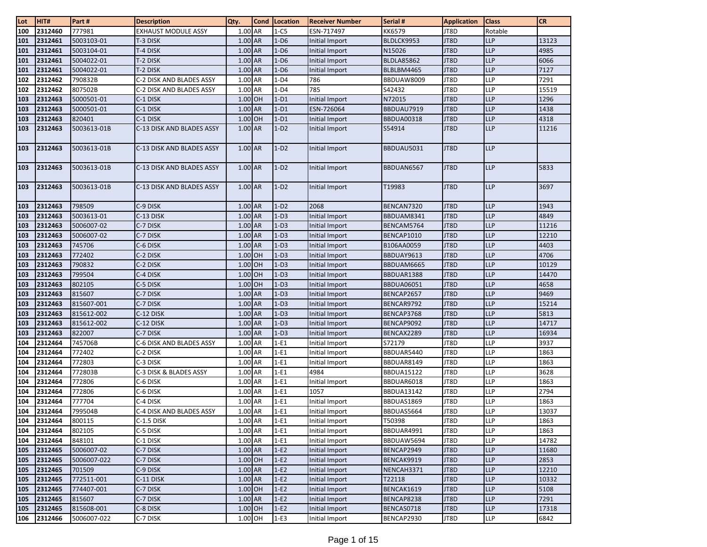| Lot        | HIT#               | Part#                    | <b>Description</b>         | Qty.               | <b>Cond</b> | Location         | <b>Receiver Number</b>           | Serial #             | <b>Application</b> | <b>Class</b>             | <b>CR</b>      |
|------------|--------------------|--------------------------|----------------------------|--------------------|-------------|------------------|----------------------------------|----------------------|--------------------|--------------------------|----------------|
| 100        | 2312460            | 777981                   | <b>EXHAUST MODULE ASSY</b> | 1.00 AR            |             | $1-C5$           | ESN-717497                       | KK6579               | JT8D               | Rotable                  |                |
| 101        | 2312461            | 5003103-01               | T-3 DISK                   | 1.00 AR            |             | $1-D6$           | Initial Import                   | BLDLCK9953           | JT8D               | <b>LLP</b>               | 13123          |
| 101        | 2312461            | 5003104-01               | T-4 DISK                   | 1.00 AR            |             | $1-D6$           | Initial Import                   | N15026               | JT8D               | <b>LLP</b>               | 4985           |
| 101        | 2312461            | 5004022-01               | T-2 DISK                   | 1.00 AR            |             | $1-D6$           | Initial Import                   | <b>BLDLA85862</b>    | JT8D               | <b>LLP</b>               | 6066           |
| 101        | 2312461            | 5004022-01               | T-2 DISK                   | 1.00 AR            |             | $1-D6$           | Initial Import                   | BLBLBM4465           | JT8D               | <b>LLP</b>               | 7127           |
| 102        | 2312462            | 790832B                  | C-2 DISK AND BLADES ASSY   | 1.00 AR            |             | $1-D4$           | 786                              | BBDUAW8009           | JT8D               | <b>LLP</b>               | 7291           |
| 102        | 2312462            | 807502B                  | C-2 DISK AND BLADES ASSY   | 1.00 AR            |             | $1-D4$           | 785                              | S42432               | JT8D               | LLP                      | 15519          |
| 103        | 2312463            | 5000501-01               | C-1 DISK                   | $1.00$ OH          |             | $1-D1$           | Initial Import                   | N72015               | JT8D               | <b>LLP</b>               | 1296           |
| 103        | 2312463            | 5000501-01               | C-1 DISK                   | 1.00 AR            |             | $1-D1$           | ESN-726064                       | BBDUAU7919           | JT8D               | <b>LLP</b>               | 1438           |
| 103        | 2312463            | 820401                   | C-1 DISK                   | 1.00 OH            |             | $1-D1$           | Initial Import                   | <b>BBDUA00318</b>    | JT8D               | <b>LLP</b>               | 4318           |
| 103        | 2312463            | 5003613-01B              | C-13 DISK AND BLADES ASSY  | 1.00 AR            |             | $1-D2$           | Initial Import                   | S54914               | JT8D               | <b>LLP</b>               | 11216          |
| 103        | 2312463            | 5003613-01B              | C-13 DISK AND BLADES ASSY  | 1.00 AR            |             | $1-D2$           | Initial Import                   | BBDUAU5031           | JT8D               | <b>LLP</b>               |                |
| 103        | 2312463            | 5003613-01B              | C-13 DISK AND BLADES ASSY  | 1.00 AR            |             | $1-D2$           | Initial Import                   | BBDUAN6567           | JT8D               | <b>LLP</b>               | 5833           |
| 103        | 2312463            | 5003613-01B              | C-13 DISK AND BLADES ASSY  | 1.00 AR            |             | $1-D2$           | Initial Import                   | T19983               | JT8D               | <b>LLP</b>               | 3697           |
| 103        | 2312463            | 798509                   | C-9 DISK                   | 1.00 AR            |             | $1-D2$           | 2068                             | BENCAN7320           | JT8D               | <b>LLP</b>               | 1943           |
| 103        | 2312463            | 5003613-01               | C-13 DISK                  | 1.00 AR            |             | $1-D3$           | Initial Import                   | BBDUAM8341           | JT8D               | <b>LLP</b>               | 4849           |
| 103        | 2312463            | 5006007-02               | C-7 DISK                   | 1.00 AR            |             | $1-D3$           | Initial Import                   | BENCAM5764           | JT8D               | <b>LLP</b>               | 11216          |
| 103        | 2312463            | 5006007-02               | C-7 DISK                   | 1.00 AR            |             | $1-D3$           | Initial Import                   | BENCAP1010           | JT8D               | <b>LLP</b>               | 12210          |
| 103        | 2312463            | 745706                   | C-6 DISK                   | $1.00$ AR          |             | $1-D3$           | Initial Import                   | B106AA0059           | JT8D               | LLP                      | 4403           |
| 103        | 2312463            | 772402                   | C-2 DISK                   | $1.00$ OH          |             | $1-D3$           | Initial Import                   | BBDUAY9613           | JT8D               | <b>LLP</b>               | 4706           |
| 103        | 2312463            | 790832                   | C-2 DISK                   | 1.00 OH            |             | $1-D3$           | Initial Import                   | BBDUAM6665           | JT8D               | <b>LLP</b>               | 10129          |
| 103        | 2312463            | 799504                   | C-4 DISK                   | 1.00 OH            |             | $1-D3$           | Initial Import                   | BBDUAR1388           | JT8D               | <b>LLP</b>               | 14470          |
| 103        | 2312463            | 802105                   | C-5 DISK                   | 1.00 OH            |             | $1-D3$           | Initial Import                   | <b>BBDUA06051</b>    | JT8D               | <b>LLP</b>               | 4658           |
| 103        | 2312463            | 815607                   | C-7 DISK                   | 1.00 AR            |             | $1-D3$           | Initial Import                   | BENCAP2657           | JT8D               | <b>LLP</b>               | 9469           |
| 103        | 2312463            | 815607-001               | C-7 DISK                   | 1.00 AR            |             | $1-D3$           | Initial Import                   | BENCAR9792           | JT8D               | <b>LLP</b>               | 15214          |
| 103        | 2312463            | 815612-002               | C-12 DISK                  | 1.00 AR            |             | $1-D3$           | Initial Import                   | BENCAP3768           | JT8D               | <b>LLP</b>               | 5813           |
| 103        | 2312463            | 815612-002               | C-12 DISK                  | 1.00 AR            |             | $1-D3$           | Initial Import                   | BENCAP9092           | JT8D               | <b>LLP</b>               | 14717          |
| 103        | 2312463            | 822007                   | C-7 DISK                   | 1.00 AR            |             | $1-D3$           | Initial Import                   | BENCAX2289           | JT8D               | <b>LLP</b>               | 16934          |
| 104        | 2312464            | 745706B                  | C-6 DISK AND BLADES ASSY   | 1.00 AR            |             | $1-E1$           | Initial Import                   | S72179               | JT8D               | <b>LLP</b>               | 3937           |
| 104        | 2312464            | 772402                   | C-2 DISK                   | 1.00 AR            |             | $1-E1$           | Initial Import                   | BBDUAR5440           | JT8D               | <b>LLP</b>               | 1863           |
| 104        | 2312464            | 772803                   | C-3 DISK                   | 1.00 AR            |             | $1-E1$           | Initial Import                   | BBDUAR8149           | JT8D               | <b>LLP</b>               | 1863           |
| 104        | 2312464            | 772803B                  | C-3 DISK & BLADES ASSY     | 1.00 AR            |             | $1-E1$           | 4984                             | <b>BBDUA15122</b>    | JT8D               | <b>LLP</b>               | 3628           |
| 104        | 2312464            | 772806                   | C-6 DISK                   | 1.00 AR            |             | $1-E1$           | Initial Import                   | BBDUAR6018           | JT8D               | <b>LLP</b>               | 1863           |
| 104        | 2312464            | 772806                   | C-6 DISK                   | 1.00 AR            |             | $1-E1$           | 1057                             | <b>BBDUA13142</b>    | JT8D               | <b>LLP</b>               | 2794           |
| 104        | 2312464            | 777704                   | C-4 DISK                   | 1.00 AR            |             | $1-E1$           | Initial Import                   | BBDUAS1869           | JT8D               | <b>LLP</b>               | 1863           |
| 104        | 2312464            | 799504B                  | C-4 DISK AND BLADES ASSY   | $1.00$ AR          |             | $1-E1$           | Initial Import                   | BBDUAS5664           | JT8D               | LLP                      | 13037          |
| 104        | 2312464            | 800115                   | C-1.5 DISK                 | 1.00 AR            |             | $1-E1$           | Initial Import                   | T50398               | JT8D               | <b>LLP</b>               | 1863           |
| 104        | 2312464            | 802105                   | C-5 DISK                   | 1.00 AR            |             | $1-E1$           | Initial Import                   | BBDUAR4991           | JT8D               | <b>LLP</b>               | 1863           |
| 104        | 2312464            | 848101                   | C-1 DISK                   | 1.00 AR            |             | $1-E1$           | Initial Import                   | BBDUAW5694           | JT8D               | LLP                      | 14782          |
| 105        | 2312465            | 5006007-02               | C-7 DISK                   | 1.00 AR            |             | $1-E2$           | Initial Import                   | BENCAP2949           | JT8D               | <b>LLP</b>               | 11680          |
| 105        | 2312465            | 5006007-022              | C-7 DISK                   | 1.00 OH            |             | $1-E2$           | Initial Import                   | BENCAK9919           | JT8D               | <b>LLP</b>               | 2853           |
| 105        | 2312465<br>2312465 | 701509                   | C-9 DISK                   | 1.00 AR            |             | $1-E2$           | Initial Import                   | NENCAH3371           | JT8D               | <b>LLP</b><br><b>LLP</b> | 12210<br>10332 |
| 105<br>105 | 2312465            | 772511-001<br>774407-001 | C-11 DISK<br>C-7 DISK      | 1.00 AR<br>1.00 OH |             | $1-E2$<br>$1-E2$ | Initial Import<br>Initial Import | T22118<br>BENCAK1619 | JT8D<br>JT8D       | <b>LLP</b>               | 5108           |
| 105        | 2312465            | 815607                   | C-7 DISK                   | 1.00 AR            |             | $1-E2$           | Initial Import                   | BENCAP8238           | JT8D               | <b>LLP</b>               | 7291           |
| 105        | 2312465            | 815608-001               | C-8 DISK                   | $1.00$ OH          |             | $1-E2$           | Initial Import                   | BENCAS0718           | JT8D               | LLP                      | 17318          |
| 106        | 2312466            | 5006007-022              | C-7 DISK                   | 1.00 OH            |             | $1-E3$           | Initial Import                   | BENCAP2930           | JT8D               | <b>LLP</b>               | 6842           |
|            |                    |                          |                            |                    |             |                  |                                  |                      |                    |                          |                |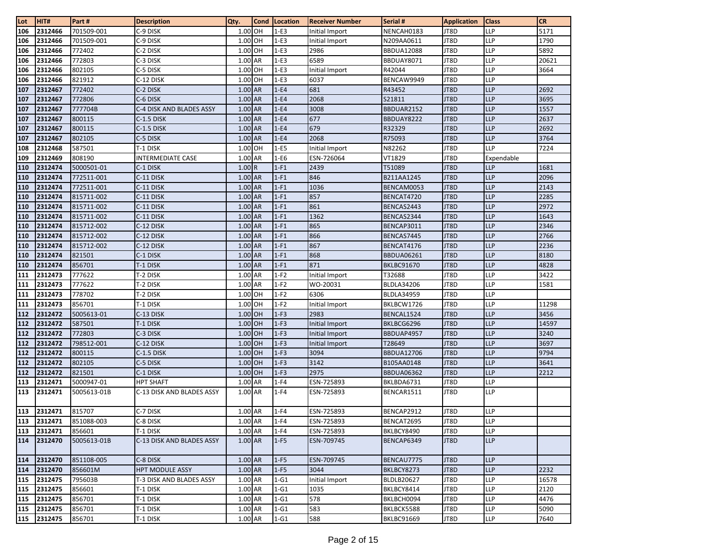| <b>Lot</b> | HIT#        | Part#       | <b>Description</b>        | Qty.      | <b>Cond</b> | Location | <b>Receiver Number</b> | Serial #          | <b>Application</b> | <b>Class</b> | <b>CR</b> |
|------------|-------------|-------------|---------------------------|-----------|-------------|----------|------------------------|-------------------|--------------------|--------------|-----------|
| 106        | 2312466     | 701509-001  | C-9 DISK                  | 1.00 OH   |             | $1-E3$   | Initial Import         | NENCAH0183        | JT8D               | <b>LLP</b>   | 5171      |
| 106        | 2312466     | 701509-001  | C-9 DISK                  | 1.00 OH   |             | $1-E3$   | Initial Import         | N209AA0611        | JT8D               | <b>LLP</b>   | 1790      |
| 106        | 2312466     | 772402      | C-2 DISK                  | 1.00 OH   |             | $1-E3$   | 2986                   | <b>BBDUA12088</b> | JT8D               | <b>LLP</b>   | 5892      |
| 106        | 2312466     | 772803      | C-3 DISK                  | 1.00 AR   |             | $1-E3$   | 6589                   | BBDUAY8071        | JT8D               | <b>LLP</b>   | 20621     |
| 106        | 2312466     | 802105      | C-5 DISK                  | 1.00 OH   |             | $1-E3$   | Initial Import         | R42044            | JT8D               | LLP          | 3664      |
| 106        | 2312466     | 821912      | C-12 DISK                 | 1.00 OH   |             | $1-E3$   | 6037                   | BENCAW9949        | JT8D               | <b>LLP</b>   |           |
| 107        | 2312467     | 772402      | C-2 DISK                  | 1.00 AR   |             | $1-E4$   | 681                    | R43452            | JT8D               | <b>LLP</b>   | 2692      |
| 107        | 2312467     | 772806      | C-6 DISK                  | 1.00 AR   |             | $1-E4$   | 2068                   | S21811            | JT8D               | <b>LLP</b>   | 3695      |
| 107        | 2312467     | 777704B     | C-4 DISK AND BLADES ASSY  | 1.00 AR   |             | $1-E4$   | 3008                   | BBDUAR2152        | JT8D               | <b>LLP</b>   | 1557      |
| 107        | 2312467     | 800115      | $C-1.5$ DISK              | 1.00 AR   |             | $1-E4$   | 677                    | BBDUAY8222        | JT8D               | <b>LLP</b>   | 2637      |
| 107        | 2312467     | 800115      | C-1.5 DISK                | 1.00 AR   |             | $1-E4$   | 679                    | R32329            | JT8D               | <b>LLP</b>   | 2692      |
| 107        | 2312467     | 802105      | C-5 DISK                  | 1.00 AR   |             | $1-E4$   | 2068                   | R75093            | JT8D               | <b>LLP</b>   | 3764      |
| 108        | 2312468     | 587501      | T-1 DISK                  | 1.00 OH   |             | $1-E5$   | Initial Import         | N82262            | JT8D               | <b>LLP</b>   | 7224      |
| 109        | 2312469     | 808190      | <b>INTERMEDIATE CASE</b>  | 1.00 AR   |             | $1-E6$   | ESN-726064             | VT1829            | JT8D               | Expendable   |           |
| 110        | 2312474     | 5000501-01  | C-1 DISK                  | 1.00R     |             | $1-F1$   | 2439                   | T51089            | JT8D               | <b>LLP</b>   | 1681      |
| 110        | 2312474     | 772511-001  | C-11 DISK                 | 1.00 AR   |             | $1-F1$   | 846                    | B211AA1245        | JT8D               | <b>LLP</b>   | 2096      |
| 110        | 2312474     | 772511-001  | C-11 DISK                 | 1.00 AR   |             | $1-F1$   | 1036                   | BENCAM0053        | JT8D               | <b>LLP</b>   | 2143      |
| 110        | 2312474     | 815711-002  | C-11 DISK                 | 1.00 AR   |             | $1-F1$   | 857                    | BENCAT4720        | JT8D               | <b>LLP</b>   | 2285      |
| 110        | 2312474     | 815711-002  | C-11 DISK                 | 1.00 AR   |             | $1-F1$   | 861                    | BENCAS2443        | JT8D               | <b>LLP</b>   | 2972      |
| 110        | 2312474     | 815711-002  | C-11 DISK                 | $1.00$ AR |             | $1-F1$   | 1362                   | BENCAS2344        | JT8D               | <b>LLP</b>   | 1643      |
| 110        | 2312474     | 815712-002  | C-12 DISK                 | 1.00 AR   |             | $1-F1$   | 865                    | BENCAP3011        | JT8D               | <b>LLP</b>   | 2346      |
| 110        | 2312474     | 815712-002  | C-12 DISK                 | 1.00 AR   |             | $1-F1$   | 866                    | BENCAS7445        | JT8D               | <b>LLP</b>   | 2766      |
| 110        | 2312474     | 815712-002  | C-12 DISK                 | 1.00 AR   |             | $1-F1$   | 867                    | BENCAT4176        | JT8D               | <b>LLP</b>   | 2236      |
| 110        | 2312474     | 821501      | C-1 DISK                  | 1.00 AR   |             | $1-F1$   | 868                    | <b>BBDUA06261</b> | JT8D               | <b>LLP</b>   | 8180      |
| 110        | 2312474     | 856701      | T-1 DISK                  | 1.00 AR   |             | $1-F1$   | 871                    | <b>BKLBC91670</b> | JT8D               | <b>LLP</b>   | 4828      |
| 111        | 2312473     | 777622      | T-2 DISK                  | 1.00 AR   |             | $1-F2$   | Initial Import         | T32688            | JT8D               | <b>LLP</b>   | 3422      |
| 111        | 2312473     | 777622      | T-2 DISK                  | 1.00 AR   |             | $1-F2$   | WO-20031               | <b>BLDLA34206</b> | JT8D               | <b>LLP</b>   | 1581      |
| 111        | 2312473     | 778702      | T-2 DISK                  | 1.00 OH   |             | $1-F2$   | 6306                   | <b>BLDLA34959</b> | JT8D               | <b>LLP</b>   |           |
| 111        | 2312473     | 856701      | T-1 DISK                  | 1.00 OH   |             | $1-F2$   | Initial Import         | BKLBCW1726        | JT8D               | LLP          | 11298     |
| 112        | 2312472     | 5005613-01  | C-13 DISK                 | 1.00 OH   |             | $1-F3$   | 2983                   | BENCAL1524        | JT8D               | <b>LLP</b>   | 3456      |
| 112        | 2312472     | 587501      | T-1 DISK                  | 1.00 OH   |             | $1-F3$   | Initial Import         | BKLBCG6296        | JT8D               | <b>LLP</b>   | 14597     |
| 112        | 2312472     | 772803      | C-3 DISK                  | 1.00 OH   |             | $1-F3$   | Initial Import         | BBDUAP4957        | JT8D               | <b>LLP</b>   | 3240      |
| 112        | 2312472     | 798512-001  | C-12 DISK                 | 1.00 OH   |             | $1-F3$   | Initial Import         | T28649            | JT8D               | <b>LLP</b>   | 3697      |
| 112        | 2312472     | 800115      | C-1.5 DISK                | 1.00 OH   |             | $1-F3$   | 3094                   | <b>BBDUA12706</b> | JT8D               | <b>LLP</b>   | 9794      |
| 112        | 2312472     | 802105      | C-5 DISK                  | 1.00 OH   |             | $1-F3$   | 3142                   | B105AA0148        | JT8D               | <b>LLP</b>   | 3641      |
| 112        | 2312472     | 821501      | C-1 DISK                  | 1.00 OH   |             | $1-F3$   | 2975                   | <b>BBDUA06362</b> | JT8D               | <b>LLP</b>   | 2212      |
| 113        | 2312471     | 5000947-01  | <b>HPT SHAFT</b>          | 1.00 AR   |             | $1-F4$   | ESN-725893             | BKLBDA6731        | JT8D               | <b>LLP</b>   |           |
| 113        | 2312471     | 5005613-01B | C-13 DISK AND BLADES ASSY | 1.00 AR   |             | $1-F4$   | ESN-725893             | BENCAR1511        | JT8D               | <b>LLP</b>   |           |
|            | 113 2312471 | 815707      | C-7 DISK                  | 1.00 AR   |             | $1-F4$   | ESN-725893             | BENCAP2912        | JT8D               | <b>LLP</b>   |           |
|            | 113 2312471 | 851088-003  | C-8 DISK                  | 1.00 AR   |             | $1-F4$   | ESN-725893             | BENCAT2695        | JT8D               | <b>LLP</b>   |           |
| 113        | 2312471     | 856601      | T-1 DISK                  | 1.00 AR   |             | $1-F4$   | ESN-725893             | BKLBCY8490        | JT8D               | <b>LLP</b>   |           |
| 114        | 2312470     | 5005613-01B | C-13 DISK AND BLADES ASSY | 1.00 AR   |             | $1-F5$   | ESN-709745             | BENCAP6349        | JT8D               | <b>LLP</b>   |           |
| 114        | 2312470     | 851108-005  | C-8 DISK                  | 1.00 AR   |             | $1-F5$   | ESN-709745             | BENCAU7775        | JT8D               | <b>LLP</b>   |           |
| 114        | 2312470     | 856601M     | <b>HPT MODULE ASSY</b>    | 1.00 AR   |             | $1-F5$   | 3044                   | BKLBCY8273        | JT8D               | <b>LLP</b>   | 2232      |
| 115        | 2312475     | 795603B     | T-3 DISK AND BLADES ASSY  | 1.00 AR   |             | $1-G1$   | Initial Import         | <b>BLDLB20627</b> | JT8D               | <b>LLP</b>   | 16578     |
| 115        | 2312475     | 856601      | T-1 DISK                  | 1.00 AR   |             | $1-G1$   | 1035                   | BKLBCY8414        | JT8D               | <b>LLP</b>   | 2120      |
| 115        | 2312475     | 856701      | T-1 DISK                  | 1.00 AR   |             | $1-G1$   | 578                    | BKLBCH0094        | JT8D               | LLP          | 4476      |
|            | 115 2312475 | 856701      | T-1 DISK                  | 1.00 AR   |             | $1-G1$   | 583                    | BKLBCK5588        | JT8D               | LLP          | 5090      |
|            | 115 2312475 | 856701      | T-1 DISK                  | 1.00 AR   |             | $1-G1$   | 588                    | BKLBC91669        | JT8D               | LLP          | 7640      |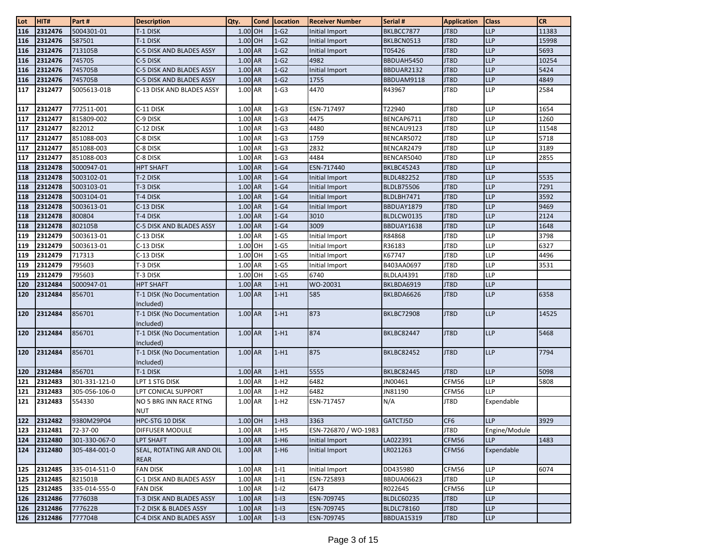| Lot | HIT#    | Part #        | <b>Description</b>                      | Qty.      | <b>Cond</b> | Location | <b>Receiver Number</b> | Serial #          | <b>Application</b> | <b>Class</b>  | <b>CR</b> |
|-----|---------|---------------|-----------------------------------------|-----------|-------------|----------|------------------------|-------------------|--------------------|---------------|-----------|
| 116 | 2312476 | 5004301-01    | T-1 DISK                                | 1.00 OH   |             | $1-G2$   | Initial Import         | BKLBCC7877        | JT8D               | <b>LLP</b>    | 11383     |
| 116 | 2312476 | 587501        | T-1 DISK                                | 1.00 OH   |             | $1-G2$   | Initial Import         | BKLBCN0513        | JT8D               | LLP           | 15998     |
| 116 | 2312476 | 713105B       | C-5 DISK AND BLADES ASSY                | $1.00$ AR |             | $1-G2$   | Initial Import         | T05426            | JT8D               | <b>LLP</b>    | 5693      |
| 116 | 2312476 | 745705        | C-5 DISK                                | 1.00 AR   |             | $1-G2$   | 4982                   | BBDUAH5450        | JT8D               | <b>LLP</b>    | 10254     |
| 116 | 2312476 | 745705B       | C-5 DISK AND BLADES ASSY                | $1.00$ AR |             | $1-G2$   | Initial Import         | BBDUAR2132        | JT8D               | <b>LLP</b>    | 5424      |
| 116 | 2312476 | 745705B       | C-5 DISK AND BLADES ASSY                | 1.00 AR   |             | $1-G2$   | 1755                   | BBDUAM9118        | JT8D               | <b>LLP</b>    | 4849      |
| 117 | 2312477 | 5005613-01B   | C-13 DISK AND BLADES ASSY               | 1.00 AR   |             | $1-G3$   | 4470                   | R43967            | JT8D               | <b>LLP</b>    | 2584      |
| 117 | 2312477 | 772511-001    | C-11 DISK                               | 1.00 AR   |             | $1-G3$   | ESN-717497             | T22940            | JT8D               | LLP           | 1654      |
| 117 | 2312477 | 815809-002    | C-9 DISK                                | 1.00 AR   |             | $1-G3$   | 4475                   | BENCAP6711        | JT8D               | <b>LLP</b>    | 1260      |
| 117 | 2312477 | 822012        | C-12 DISK                               | $1.00$ AR |             | $1-G3$   | 4480                   | BENCAU9123        | JT8D               | LLP           | 11548     |
| 117 | 2312477 | 851088-003    | C-8 DISK                                | 1.00 AR   |             | $1-G3$   | 1759                   | BENCAR5072        | JT8D               | LLP           | 5718      |
| 117 | 2312477 | 851088-003    | C-8 DISK                                | 1.00 AR   |             | $1-G3$   | 2832                   | BENCAR2479        | JT8D               | LLP           | 3189      |
| 117 | 2312477 | 851088-003    | C-8 DISK                                | 1.00 AR   |             | $1-G3$   | 4484                   | BENCAR5040        | JT8D               | <b>LLP</b>    | 2855      |
| 118 | 2312478 | 5000947-01    | <b>HPT SHAFT</b>                        | 1.00 AR   |             | $1-G4$   | ESN-717440             | <b>BKLBC45243</b> | JT8D               | <b>LLP</b>    |           |
| 118 | 2312478 | 5003102-01    | T-2 DISK                                | 1.00 AR   |             | $1-G4$   | Initial Import         | <b>BLDL482252</b> | JT8D               | <b>LLP</b>    | 5535      |
| 118 | 2312478 | 5003103-01    | T-3 DISK                                | 1.00 AR   |             | $1-G4$   | Initial Import         | <b>BLDLB75506</b> | JT8D               | <b>LLP</b>    | 7291      |
| 118 | 2312478 | 5003104-01    | T-4 DISK                                | 1.00 AR   |             | $1-G4$   | Initial Import         | BLDLBH7471        | JT8D               | <b>LLP</b>    | 3592      |
| 118 | 2312478 | 5003613-01    | C-13 DISK                               | 1.00 AR   |             | $1-G4$   | Initial Import         | BBDUAY1879        | JT8D               | <b>LLP</b>    | 9469      |
| 118 | 2312478 | 800804        | T-4 DISK                                | 1.00 AR   |             | $1-G4$   | 3010                   | BLDLCW0135        | JT8D               | <b>LLP</b>    | 2124      |
| 118 | 2312478 | 802105B       | C-5 DISK AND BLADES ASSY                | 1.00 AR   |             | $1-G4$   | 3009                   | BBDUAY1638        | JT8D               | <b>LLP</b>    | 1648      |
| 119 | 2312479 | 5003613-01    | C-13 DISK                               | 1.00 AR   |             | $1-G5$   | Initial Import         | R84868            | JT8D               | <b>LLP</b>    | 3798      |
| 119 | 2312479 | 5003613-01    | C-13 DISK                               | 1.00 OH   |             | $1-G5$   | Initial Import         | R36183            | JT8D               | <b>LLP</b>    | 6327      |
| 119 | 2312479 | 717313        | C-13 DISK                               | 1.00 OH   |             | $1-G5$   | Initial Import         | K67747            | JT8D               | LLP           | 4496      |
| 119 | 2312479 | 795603        | T-3 DISK                                | $1.00$ AR |             | $1-G5$   | Initial Import         | B403AA0697        | JT8D               | LLP           | 3531      |
| 119 | 2312479 | 795603        | T-3 DISK                                | 1.00 OH   |             | $1-G5$   | 6740                   | BLDLAJ4391        | JT8D               | LLP           |           |
| 120 | 2312484 | 5000947-01    | <b>HPT SHAFT</b>                        | 1.00 AR   |             | $1-H1$   | WO-20031               | BKLBDA6919        | JT8D               | <b>LLP</b>    |           |
| 120 | 2312484 | 856701        | T-1 DISK (No Documentation              | $1.00$ AR |             | $1-H1$   | 585                    | BKLBDA6626        | JT8D               | <b>LLP</b>    | 6358      |
|     |         |               | Included)                               |           |             |          |                        |                   |                    |               |           |
| 120 | 2312484 | 856701        | T-1 DISK (No Documentation              | 1.00 AR   |             | $1-H1$   | 873                    | <b>BKLBC72908</b> | JT8D               | <b>LLP</b>    | 14525     |
|     |         |               | Included)                               | 1.00 AR   |             | $1-H1$   | 874                    |                   |                    | <b>LLP</b>    | 5468      |
| 120 | 2312484 | 856701        | T-1 DISK (No Documentation<br>Included) |           |             |          |                        | <b>BKLBC82447</b> | JT8D               |               |           |
| 120 | 2312484 | 856701        | T-1 DISK (No Documentation              | $1.00$ AR |             | $1-H1$   | 875                    | <b>BKLBC82452</b> | JT8D               | <b>LLP</b>    | 7794      |
|     |         |               | Included)                               |           |             |          |                        |                   |                    |               |           |
| 120 | 2312484 | 856701        | T-1 DISK                                | 1.00 AR   |             | $1-H1$   | 5555                   | <b>BKLBC82445</b> | JT8D               | <b>LLP</b>    | 5098      |
| 121 | 2312483 | 301-331-121-0 | LPT 1 STG DISK                          | 1.00 AR   |             | $1-H2$   | 6482                   | JN00461           | CFM56              | <b>LLP</b>    | 5808      |
| 121 | 2312483 | 305-056-106-0 | LPT CONICAL SUPPORT                     | 1.00 AR   |             | $1-H2$   | 6482                   | JN81190           | CFM56              | LLP           |           |
| 121 | 2312483 | 554330        | NO 5 BRG INN RACE RTNG                  | 1.00 AR   |             | $1-H2$   | ESN-717457             | N/A               | JT8D               | Expendable    |           |
|     |         |               | <b>NUT</b>                              |           |             |          |                        |                   |                    |               |           |
| 122 | 2312482 | 9380M29P04    | HPC-STG 10 DISK                         | 1.00 OH   |             | $1-H3$   | 3363                   | GATCTJ5D          | CF <sub>6</sub>    | <b>LLP</b>    | 3929      |
| 123 | 2312481 | 72-37-00      | DIFFUSER MODULE                         | 1.00 AR   |             | $1-H5$   | ESN-726870 / WO-1983   |                   | JT8D               | Engine/Module |           |
| 124 | 2312480 | 301-330-067-0 | LPT SHAFT                               | 1.00 AR   |             | $1-H6$   | Initial Import         | LA022391          | CFM56              | <b>LLP</b>    | 1483      |
| 124 | 2312480 | 305-484-001-0 | SEAL, ROTATING AIR AND OIL              | 1.00 AR   |             | $1-H6$   | Initial Import         | LR021263          | CFM56              | Expendable    |           |
|     |         |               | <b>REAR</b>                             |           |             |          |                        |                   |                    |               |           |
| 125 | 2312485 | 335-014-511-0 | <b>FAN DISK</b>                         | 1.00 AR   |             | $1-11$   | Initial Import         | DD435980          | CFM56              | <b>LLP</b>    | 6074      |
| 125 | 2312485 | 821501B       | C-1 DISK AND BLADES ASSY                | 1.00 AR   |             | $1-11$   | ESN-725893             | <b>BBDUA06623</b> | JT8D               | <b>LLP</b>    |           |
| 125 | 2312485 | 335-014-555-0 | <b>FAN DISK</b>                         | 1.00 AR   |             | $1 - 12$ | 6473                   | R022645           | CFM56              | LLP           |           |
| 126 | 2312486 | 777603B       | T-3 DISK AND BLADES ASSY                | 1.00 AR   |             | $1-I3$   | ESN-709745             | <b>BLDLC60235</b> | JT8D               | <b>LLP</b>    |           |
| 126 | 2312486 | 777622B       | T-2 DISK & BLADES ASSY                  | 1.00 AR   |             | $1-I3$   | ESN-709745             | <b>BLDLC78160</b> | JT8D               | <b>LLP</b>    |           |
| 126 | 2312486 | 777704B       | C-4 DISK AND BLADES ASSY                | 1.00 AR   |             | $1-I3$   | ESN-709745             | <b>BBDUA15319</b> | JT8D               | LLP           |           |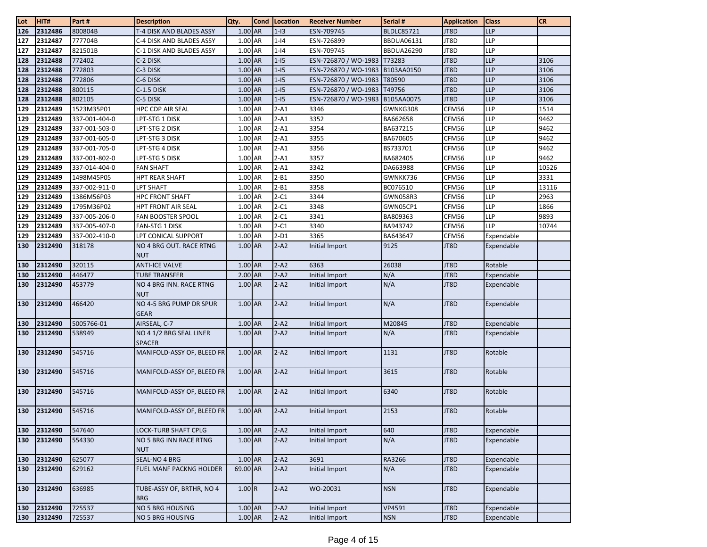| Lot | HIT#        | Part#         | <b>Description</b>                       | Qty.      | <b>Cond</b> | Location | <b>Receiver Number</b> | Serial #          | <b>Application</b> | <b>Class</b> | <b>CR</b> |
|-----|-------------|---------------|------------------------------------------|-----------|-------------|----------|------------------------|-------------------|--------------------|--------------|-----------|
| 126 | 2312486     | 800804B       | T-4 DISK AND BLADES ASSY                 | $1.00$ AR |             | $1-I3$   | ESN-709745             | <b>BLDLC85721</b> | JT8D               | <b>LLP</b>   |           |
| 127 | 2312487     | 777704B       | C-4 DISK AND BLADES ASSY                 | 1.00 AR   |             | $1 - 14$ | ESN-726899             | <b>BBDUA06131</b> | JT8D               | <b>LLP</b>   |           |
| 127 | 2312487     | 821501B       | C-1 DISK AND BLADES ASSY                 | 1.00 AR   |             | $1 - 14$ | ESN-709745             | <b>BBDUA26290</b> | JT8D               | LLP          |           |
| 128 | 2312488     | 772402        | C-2 DISK                                 | $1.00$ AR |             | $1-15$   | ESN-726870 / WO-1983   | T73283            | JT8D               | LLP          | 3106      |
| 128 | 2312488     | 772803        | C-3 DISK                                 | 1.00 AR   |             | $1-15$   | ESN-726870 / WO-1983   | B103AA0150        | JT8D               | <b>LLP</b>   | 3106      |
| 128 | 2312488     | 772806        | C-6 DISK                                 | 1.00 AR   |             | $1-15$   | ESN-726870 / WO-1983   | T80590            | JT8D               | LLP          | 3106      |
| 128 | 2312488     | 800115        | C-1.5 DISK                               | 1.00 AR   |             | $1-15$   | ESN-726870 / WO-1983   | T49756            | JT8D               | LLP          | 3106      |
| 128 | 2312488     | 802105        | C-5 DISK                                 | 1.00 AR   |             | $1-15$   | ESN-726870 / WO-1983   | B105AA0075        | JT8D               | <b>LLP</b>   | 3106      |
| 129 | 2312489     | 1523M35P01    | <b>HPC CDP AIR SEAL</b>                  | 1.00 AR   |             | $2 - A1$ | 3346                   | GWNKG308          | CFM56              | <b>LLP</b>   | 1514      |
| 129 | 2312489     | 337-001-404-0 | LPT-STG 1 DISK                           | 1.00 AR   |             | $2 - A1$ | 3352                   | BA662658          | CFM56              | LLP          | 9462      |
| 129 | 2312489     | 337-001-503-0 | LPT-STG 2 DISK                           | 1.00 AR   |             | $2 - A1$ | 3354                   | BA637215          | CFM56              | <b>LLP</b>   | 9462      |
| 129 | 2312489     | 337-001-605-0 | LPT-STG 3 DISK                           | 1.00 AR   |             | $2 - A1$ | 3355                   | BA670605          | CFM56              | LLP          | 9462      |
| 129 | 2312489     | 337-001-705-0 | LPT-STG 4 DISK                           | 1.00 AR   |             | $2 - A1$ | 3356                   | BS733701          | CFM56              | <b>LLP</b>   | 9462      |
| 129 | 2312489     | 337-001-802-0 | LPT-STG 5 DISK                           | 1.00 AR   |             | $2-A1$   | 3357                   | BA682405          | CFM56              | LLP          | 9462      |
| 129 | 2312489     | 337-014-404-0 | <b>FAN SHAFT</b>                         | $1.00$ AR |             | $2 - A1$ | 3342                   | DA663988          | CFM56              | LLP          | 10526     |
| 129 | 2312489     | 1498M45P05    | HPT REAR SHAFT                           | 1.00 AR   |             | $2 - B1$ | 3350                   | GWNKK736          | CFM56              | <b>LLP</b>   | 3331      |
| 129 | 2312489     | 337-002-911-0 | LPT SHAFT                                | 1.00 AR   |             | $2 - B1$ | 3358                   | BC076510          | CFM56              | LLP          | 13116     |
| 129 | 2312489     | 1386M56P03    | <b>HPC FRONT SHAFT</b>                   | 1.00 AR   |             | $2-C1$   | 3344                   | GWN058R3          | CFM56              | LLP          | 2963      |
| 129 | 2312489     | 1795M36P02    | <b>HPT FRONT AIR SEAL</b>                | 1.00 AR   |             | $2-C1$   | 3348                   | GWN05CP1          | CFM56              | <b>LLP</b>   | 1866      |
| 129 | 2312489     | 337-005-206-0 | FAN BOOSTER SPOOL                        | 1.00 AR   |             | $2-C1$   | 3341                   | BA809363          | CFM56              | <b>LLP</b>   | 9893      |
| 129 | 2312489     | 337-005-407-0 | FAN-STG 1 DISK                           | 1.00 AR   |             | $2-C1$   | 3340                   | BA943742          | CFM56              | LLP          | 10744     |
| 129 | 2312489     | 337-002-410-0 | LPT CONICAL SUPPORT                      | 1.00 AR   |             | $2-D1$   | 3365                   | BA643647          | CFM56              | Expendable   |           |
| 130 | 2312490     | 318178        | NO 4 BRG OUT. RACE RTNG<br><b>NUT</b>    | 1.00 AR   |             | $2-A2$   | Initial Import         | 9125              | JT8D               | Expendable   |           |
| 130 | 2312490     | 320115        | <b>ANTI-ICE VALVE</b>                    | 1.00 AR   |             | $2-A2$   | 6363                   | 26038             | JT8D               | Rotable      |           |
| 130 | 2312490     | 446477        | <b>TUBE TRANSFER</b>                     | 2.00 AR   |             | $2-A2$   | Initial Import         | N/A               | JT8D               | Expendable   |           |
| 130 | 2312490     | 453779        | NO 4 BRG INN. RACE RTNG<br><b>NUT</b>    | 1.00 AR   |             | $2 - A2$ | Initial Import         | N/A               | JT8D               | Expendable   |           |
| 130 | 2312490     | 466420        | NO 4-5 BRG PUMP DR SPUR<br><b>GEAR</b>   | 1.00 AR   |             | $2-A2$   | Initial Import         | N/A               | JT8D               | Expendable   |           |
| 130 | 2312490     | 5005766-01    | AIRSEAL, C-7                             | 1.00 AR   |             | $2-A2$   | Initial Import         | M20845            | JT8D               | Expendable   |           |
| 130 | 2312490     | 538949        | NO 4 1/2 BRG SEAL LINER<br><b>SPACER</b> | 1.00 AR   |             | $2-A2$   | Initial Import         | N/A               | JT8D               | Expendable   |           |
| 130 | 2312490     | 545716        | MANIFOLD-ASSY OF, BLEED FR               | $1.00$ AR |             | $2 - A2$ | Initial Import         | 1131              | JT8D               | Rotable      |           |
| 130 | 2312490     | 545716        | MANIFOLD-ASSY OF, BLEED FR               | 1.00 AR   |             | $2-A2$   | Initial Import         | 3615              | JT8D               | Rotable      |           |
| 130 | 2312490     | 545716        | MANIFOLD-ASSY OF, BLEED FR               | 1.00 AR   |             | $2-A2$   | Initial Import         | 6340              | JT8D               | Rotable      |           |
|     | 130 2312490 | 545716        | MANIFOLD-ASSY OF, BLEED FR               | 1.00 AR   |             | $2-A2$   | Initial Import         | 2153              | JT8D               | Rotable      |           |
| 130 | 2312490     | 547640        | <b>LOCK-TURB SHAFT CPLG</b>              | 1.00 AR   |             | $2 - A2$ | Initial Import         | 640               | JT8D               | Expendable   |           |
| 130 | 2312490     | 554330        | NO 5 BRG INN RACE RTNG<br><b>NUT</b>     | 1.00 AR   |             | $2 - A2$ | Initial Import         | N/A               | JT8D               | Expendable   |           |
| 130 | 2312490     | 625077        | SEAL-NO 4 BRG                            | 1.00 AR   |             | $2-A2$   | 3691                   | RA3266            | JT8D               | Expendable   |           |
| 130 | 2312490     | 629162        | FUEL MANF PACKNG HOLDER                  | 69.00 AR  |             | $2 - A2$ | Initial Import         | N/A               | JT8D               | Expendable   |           |
| 130 | 2312490     | 636985        | TUBE-ASSY OF, BRTHR, NO 4<br><b>BRG</b>  | 1.00R     |             | $2 - A2$ | WO-20031               | <b>NSN</b>        | JT8D               | Expendable   |           |
| 130 | 2312490     | 725537        | NO 5 BRG HOUSING                         | $1.00$ AR |             | $2 - A2$ | Initial Import         | VP4591            | JT8D               | Expendable   |           |
| 130 | 2312490     | 725537        | <b>NO 5 BRG HOUSING</b>                  | $1.00$ AR |             | $2 - A2$ | Initial Import         | <b>NSN</b>        | JT8D               | Expendable   |           |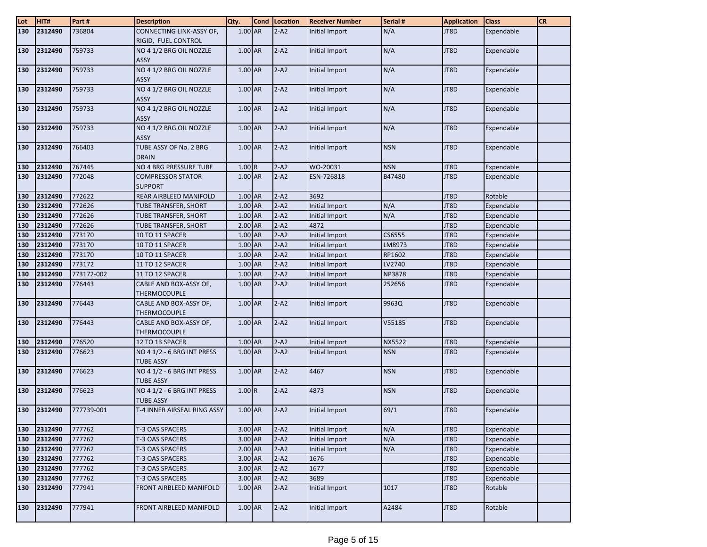| Lot | HIT#        | Part#      | <b>Description</b>                             | Qty.      | Cond Location | <b>Receiver Number</b> | Serial #      | <b>Application</b> | <b>Class</b> | <b>CR</b> |
|-----|-------------|------------|------------------------------------------------|-----------|---------------|------------------------|---------------|--------------------|--------------|-----------|
| 130 | 2312490     | 736804     | CONNECTING LINK-ASSY OF,                       | 1.00 AR   | $2 - A2$      | Initial Import         | N/A           | JT8D               | Expendable   |           |
|     |             |            | RIGID, FUEL CONTROL                            |           |               |                        |               |                    |              |           |
| 130 | 2312490     | 759733     | NO 4 1/2 BRG OIL NOZZLE<br>ASSY                | 1.00 AR   | $2-A2$        | Initial Import         | N/A           | JT8D               | Expendable   |           |
| 130 | 2312490     | 759733     | NO 4 1/2 BRG OIL NOZZLE<br>ASSY                | 1.00 AR   | $2-A2$        | Initial Import         | N/A           | JT8D               | Expendable   |           |
| 130 | 2312490     | 759733     | NO 4 1/2 BRG OIL NOZZLE<br><b>ASSY</b>         | 1.00 AR   | $2-A2$        | Initial Import         | N/A           | JT8D               | Expendable   |           |
| 130 | 2312490     | 759733     | NO 4 1/2 BRG OIL NOZZLE<br>ASSY                | 1.00 AR   | $2-A2$        | Initial Import         | N/A           | JT8D               | Expendable   |           |
| 130 | 2312490     | 759733     | NO 4 1/2 BRG OIL NOZZLE<br>ASSY                | 1.00 AR   | $2-A2$        | Initial Import         | N/A           | JT8D               | Expendable   |           |
| 130 | 2312490     | 766403     | TUBE ASSY OF No. 2 BRG<br><b>DRAIN</b>         | 1.00 AR   | $2-A2$        | Initial Import         | <b>NSN</b>    | JT8D               | Expendable   |           |
| 130 | 2312490     | 767445     | NO 4 BRG PRESSURE TUBE                         | 1.00R     | $2 - A2$      | WO-20031               | <b>NSN</b>    | JT8D               | Expendable   |           |
| 130 | 2312490     | 772048     | <b>COMPRESSOR STATOR</b><br><b>SUPPORT</b>     | 1.00 AR   | $2 - A2$      | ESN-726818             | B47480        | JT8D               | Expendable   |           |
| 130 | 2312490     | 772622     | REAR AIRBLEED MANIFOLD                         | 1.00 AR   | $2 - A2$      | 3692                   |               | JT8D               | Rotable      |           |
| 130 | 2312490     | 772626     | TUBE TRANSFER, SHORT                           | 1.00 AR   | $2 - A2$      | <b>Initial Import</b>  | N/A           | JT8D               | Expendable   |           |
| 130 | 2312490     | 772626     | TUBE TRANSFER, SHORT                           | 1.00 AR   | $2 - A2$      | Initial Import         | N/A           | JT8D               | Expendable   |           |
| 130 | 2312490     | 772626     | TUBE TRANSFER, SHORT                           | 2.00 AR   | $2 - A2$      | 4872                   |               | JT8D               | Expendable   |           |
| 130 | 2312490     | 773170     | 10 TO 11 SPACER                                | 1.00 AR   | $2 - A2$      | Initial Import         | CS6555        | JT8D               | Expendable   |           |
| 130 | 2312490     | 773170     | 10 TO 11 SPACER                                | 1.00 AR   | $2 - A2$      | Initial Import         | LM8973        | JT8D               | Expendable   |           |
| 130 | 2312490     | 773170     | 10 TO 11 SPACER                                | 1.00 AR   | $2 - A2$      | Initial Import         | RP1602        | JT8D               | Expendable   |           |
| 130 | 2312490     | 773172     | 11 TO 12 SPACER                                | 1.00 AR   | $2 - A2$      | Initial Import         | LV2740        | JT8D               | Expendable   |           |
| 130 | 2312490     | 773172-002 | 11 TO 12 SPACER                                | 1.00 AR   | $2 - A2$      | Initial Import         | <b>NP3878</b> | JT8D               | Expendable   |           |
| 130 | 2312490     | 776443     | CABLE AND BOX-ASSY OF,<br><b>THERMOCOUPLE</b>  | 1.00 AR   | $2-A2$        | Initial Import         | 252656        | JT8D               | Expendable   |           |
| 130 | 2312490     | 776443     | CABLE AND BOX-ASSY OF,<br>THERMOCOUPLE         | 1.00 AR   | $2-A2$        | Initial Import         | 9963Q         | JT8D               | Expendable   |           |
| 130 | 2312490     | 776443     | CABLE AND BOX-ASSY OF,<br>THERMOCOUPLE         | 1.00 AR   | $2-A2$        | Initial Import         | V55185        | JT8D               | Expendable   |           |
| 130 | 2312490     | 776520     | 12 TO 13 SPACER                                | 1.00 AR   | $2 - A2$      | Initial Import         | <b>NX5522</b> | JT8D               | Expendable   |           |
| 130 | 2312490     | 776623     | NO 4 1/2 - 6 BRG INT PRESS<br><b>TUBE ASSY</b> | 1.00 AR   | $2-A2$        | Initial Import         | <b>NSN</b>    | JT8D               | Expendable   |           |
| 130 | 2312490     | 776623     | NO 4 1/2 - 6 BRG INT PRESS<br><b>TUBE ASSY</b> | 1.00 AR   | $2 - A2$      | 4467                   | <b>NSN</b>    | JT8D               | Expendable   |           |
| 130 | 2312490     | 776623     | NO 4 1/2 - 6 BRG INT PRESS<br><b>TUBE ASSY</b> | 1.00R     | $2-A2$        | 4873                   | <b>NSN</b>    | JT8D               | Expendable   |           |
| 130 | 2312490     | 777739-001 | T-4 INNER AIRSEAL RING ASSY                    | $1.00$ AR | $2-A2$        | Initial Import         | 69/1          | JT8D               | Expendable   |           |
|     | 130 2312490 | 777762     | T-3 OAS SPACERS                                | 3.00 AR   | $2 - A2$      | Initial Import         | N/A           | JT8D               | Expendable   |           |
| 130 | 2312490     | 777762     | T-3 OAS SPACERS                                | 3.00 AR   | $2 - A2$      | Initial Import         | N/A           | JT8D               | Expendable   |           |
| 130 | 2312490     | 777762     | T-3 OAS SPACERS                                | 2.00 AR   | $2 - A2$      | Initial Import         | N/A           | JT8D               | Expendable   |           |
| 130 | 2312490     | 777762     | T-3 OAS SPACERS                                | 3.00 AR   | $2 - A2$      | 1676                   |               | JT8D               | Expendable   |           |
| 130 | 2312490     | 777762     | T-3 OAS SPACERS                                | 3.00 AR   | $2 - A2$      | 1677                   |               | JT8D               | Expendable   |           |
| 130 | 2312490     | 777762     | T-3 OAS SPACERS                                | 3.00 AR   | $2-A2$        | 3689                   |               | JT8D               | Expendable   |           |
| 130 | 2312490     | 777941     | FRONT AIRBLEED MANIFOLD                        | $1.00$ AR | $2-A2$        | Initial Import         | 1017          | JT8D               | Rotable      |           |
| 130 | 2312490     | 777941     | FRONT AIRBLEED MANIFOLD                        | 1.00 AR   | $2-A2$        | Initial Import         | A2484         | JT8D               | Rotable      |           |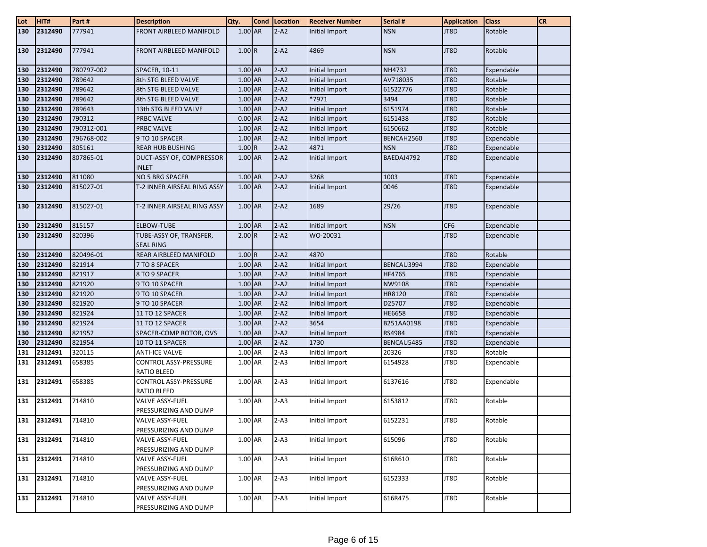| Lot | HIT#        | Part#      | <b>Description</b>                              | Qty.      | <b>Cond</b> | Location | <b>Receiver Number</b> | Serial #      | <b>Application</b> | <b>Class</b> | <b>CR</b> |
|-----|-------------|------------|-------------------------------------------------|-----------|-------------|----------|------------------------|---------------|--------------------|--------------|-----------|
| 130 | 2312490     | 777941     | <b>FRONT AIRBLEED MANIFOLD</b>                  | 1.00 AR   |             | $2 - A2$ | Initial Import         | <b>NSN</b>    | JT8D               | Rotable      |           |
| 130 | 2312490     | 777941     | FRONT AIRBLEED MANIFOLD                         | 1.00R     |             | $2 - A2$ | 4869                   | <b>NSN</b>    | JT8D               | Rotable      |           |
| 130 | 2312490     | 780797-002 | SPACER, 10-11                                   | $1.00$ AR |             | $2 - A2$ | Initial Import         | NH4732        | JT8D               | Expendable   |           |
| 130 | 2312490     | 789642     | 8th STG BLEED VALVE                             | $1.00$ AR |             | $2 - A2$ | Initial Import         | AV718035      | JT8D               | Rotable      |           |
| 130 | 2312490     | 789642     | 8th STG BLEED VALVE                             | 1.00 AR   |             | $2 - A2$ | Initial Import         | 61522776      | JT8D               | Rotable      |           |
| 130 | 2312490     | 789642     | 8th STG BLEED VALVE                             | 1.00 AR   |             | $2 - A2$ | *7971                  | 3494          | JT8D               | Rotable      |           |
| 130 | 2312490     | 789643     | 13th STG BLEED VALVE                            | 1.00 AR   |             | $2 - A2$ | Initial Import         | 6151974       | JT8D               | Rotable      |           |
| 130 | 2312490     | 790312     | <b>PRBC VALVE</b>                               | $0.00$ AR |             | $2 - A2$ | Initial Import         | 6151438       | JT8D               | Rotable      |           |
| 130 | 2312490     | 790312-001 | PRBC VALVE                                      | 1.00 AR   |             | $2 - A2$ | Initial Import         | 6150662       | JT8D               | Rotable      |           |
| 130 | 2312490     | 796768-002 | 9 TO 10 SPACER                                  | 1.00 AR   |             | $2 - A2$ | Initial Import         | BENCAH2560    | JT8D               | Expendable   |           |
| 130 | 2312490     | 805161     | <b>REAR HUB BUSHING</b>                         | 1.00R     |             | $2 - A2$ | 4871                   | <b>NSN</b>    | JT8D               | Expendable   |           |
| 130 | 2312490     | 807865-01  | DUCT-ASSY OF, COMPRESSOR<br><b>INLET</b>        | 1.00 AR   |             | $2-A2$   | Initial Import         | BAEDAJ4792    | JT8D               | Expendable   |           |
| 130 | 2312490     | 811080     | NO 5 BRG SPACER                                 | 1.00 AR   |             | $2 - A2$ | 3268                   | 1003          | JT8D               | Expendable   |           |
| 130 | 2312490     | 815027-01  | T-2 INNER AIRSEAL RING ASSY                     | $1.00$ AR |             | $2 - A2$ | Initial Import         | 0046          | JT8D               | Expendable   |           |
| 130 | 2312490     | 815027-01  | T-2 INNER AIRSEAL RING ASSY                     | 1.00 AR   |             | $2 - A2$ | 1689                   | 29/26         | JT8D               | Expendable   |           |
| 130 | 2312490     | 815157     | ELBOW-TUBE                                      | 1.00 AR   |             | $2 - A2$ | Initial Import         | <b>NSN</b>    | CF <sub>6</sub>    | Expendable   |           |
| 130 | 2312490     | 820396     | TUBE-ASSY OF, TRANSFER,<br><b>SEAL RING</b>     | 2.00 R    |             | $2 - A2$ | WO-20031               |               | JT8D               | Expendable   |           |
| 130 | 2312490     | 820496-01  | REAR AIRBLEED MANIFOLD                          | 1.00 R    |             | $2 - A2$ | 4870                   |               | JT8D               | Rotable      |           |
| 130 | 2312490     | 821914     | 7 TO 8 SPACER                                   | $1.00$ AR |             | $2 - A2$ | Initial Import         | BENCAU3994    | JT8D               | Expendable   |           |
| 130 | 2312490     | 821917     | 8 TO 9 SPACER                                   | 1.00 AR   |             | $2 - A2$ | Initial Import         | HF4765        | JT8D               | Expendable   |           |
| 130 | 2312490     | 821920     | 9 TO 10 SPACER                                  | 1.00 AR   |             | $2 - A2$ | Initial Import         | NW9108        | JT8D               | Expendable   |           |
| 130 | 2312490     | 821920     | 9 TO 10 SPACER                                  | 1.00 AR   |             | $2 - A2$ | Initial Import         | HR8120        | JT8D               | Expendable   |           |
| 130 | 2312490     | 821920     | 9 TO 10 SPACER                                  | 1.00 AR   |             | $2 - A2$ | Initial Import         | D25707        | JT8D               | Expendable   |           |
| 130 | 2312490     | 821924     | 11 TO 12 SPACER                                 | 1.00 AR   |             | $2 - A2$ | Initial Import         | <b>HE6658</b> | JT8D               | Expendable   |           |
| 130 | 2312490     | 821924     | 11 TO 12 SPACER                                 | 1.00 AR   |             | $2 - A2$ | 3654                   | B251AA0198    | JT8D               | Expendable   |           |
| 130 | 2312490     | 821952     | SPACER-COMP ROTOR, OVS                          | 1.00 AR   |             | $2 - A2$ | Initial Import         | RS4984        | JT8D               | Expendable   |           |
| 130 | 2312490     | 821954     | 10 TO 11 SPACER                                 | 1.00 AR   |             | $2 - A2$ | 1730                   | BENCAU5485    | JT8D               | Expendable   |           |
| 131 | 2312491     | 320115     | <b>ANTI-ICE VALVE</b>                           | 1.00 AR   |             | $2-A3$   | Initial Import         | 20326         | JT8D               | Rotable      |           |
| 131 | 2312491     | 658385     | CONTROL ASSY-PRESSURE<br><b>RATIO BLEED</b>     | 1.00 AR   |             | $2-A3$   | Initial Import         | 6154928       | JT8D               | Expendable   |           |
| 131 | 2312491     | 658385     | <b>CONTROL ASSY-PRESSURE</b><br>RATIO BLEED     | 1.00 AR   |             | $2-A3$   | Initial Import         | 6137616       | JT8D               | Expendable   |           |
| 131 | 2312491     | 714810     | VALVE ASSY-FUEL<br>PRESSURIZING AND DUMP        | 1.00 AR   |             | $2 - A3$ | Initial Import         | 6153812       | JT8D               | Rotable      |           |
|     | 131 2312491 | 714810     | <b>VALVE ASSY-FUEL</b><br>PRESSURIZING AND DUMP | 1.00 AR   |             | $2-A3$   | Initial Import         | 6152231       | JT8D               | Rotable      |           |
| 131 | 2312491     | 714810     | <b>VALVE ASSY-FUEL</b><br>PRESSURIZING AND DUMP | 1.00 AR   |             | $2 - A3$ | Initial Import         | 615096        | JT8D               | Rotable      |           |
|     | 131 2312491 | 714810     | <b>VALVE ASSY-FUEL</b><br>PRESSURIZING AND DUMP | 1.00 AR   |             | $2 - A3$ | Initial Import         | 616R610       | JT8D               | Rotable      |           |
|     | 131 2312491 | 714810     | <b>VALVE ASSY-FUEL</b><br>PRESSURIZING AND DUMP | 1.00 AR   |             | $2 - A3$ | Initial Import         | 6152333       | JT8D               | Rotable      |           |
|     | 131 2312491 | 714810     | <b>VALVE ASSY-FUEL</b><br>PRESSURIZING AND DUMP | 1.00 AR   |             | $2-A3$   | Initial Import         | 616R475       | JT8D               | Rotable      |           |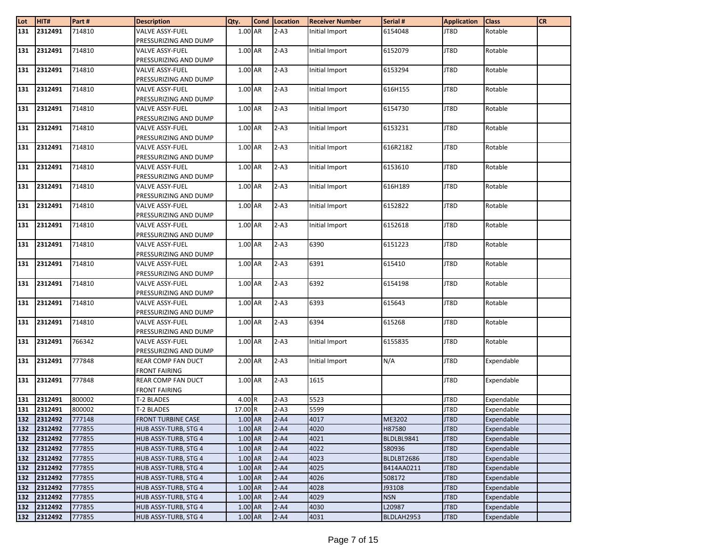| Lot        | HIT#               | Part#            | <b>Description</b>                           | Qty.               | Cond Location        | <b>Receiver Number</b> | Serial #             | <b>Application</b> | <b>Class</b>             | <b>CR</b> |
|------------|--------------------|------------------|----------------------------------------------|--------------------|----------------------|------------------------|----------------------|--------------------|--------------------------|-----------|
| 131        | 2312491            | 714810           | VALVE ASSY-FUEL                              | 1.00 AR            | $2 - A3$             | Initial Import         | 6154048              | JT8D               | Rotable                  |           |
|            |                    |                  | PRESSURIZING AND DUMP                        |                    |                      |                        |                      |                    |                          |           |
| 131        | 2312491            | 714810           | <b>VALVE ASSY-FUEL</b>                       | 1.00 AR            | $2-A3$               | Initial Import         | 6152079              | JT8D               | Rotable                  |           |
|            |                    |                  | PRESSURIZING AND DUMP                        |                    |                      |                        |                      |                    |                          |           |
| 131        | 2312491            | 714810           | <b>VALVE ASSY-FUEL</b>                       | 1.00 AR            | $2-A3$               | Initial Import         | 6153294              | JT8D               | Rotable                  |           |
|            |                    |                  | PRESSURIZING AND DUMP                        |                    |                      |                        |                      |                    |                          |           |
| 131        | 2312491            | 714810           | <b>VALVE ASSY-FUEL</b>                       | 1.00 AR            | $2-A3$               | Initial Import         | 616H155              | JT8D               | Rotable                  |           |
|            |                    |                  | PRESSURIZING AND DUMP                        |                    |                      |                        |                      |                    |                          |           |
| 131        | 2312491            | 714810           | VALVE ASSY-FUEL                              | 1.00 AR            | $2-A3$               | Initial Import         | 6154730              | JT8D               | Rotable                  |           |
|            |                    |                  | PRESSURIZING AND DUMP                        |                    |                      |                        |                      |                    |                          |           |
| 131        | 2312491            | 714810           | <b>VALVE ASSY-FUEL</b>                       | 1.00 AR            | $2-A3$               | Initial Import         | 6153231              | JT8D               | Rotable                  |           |
|            |                    |                  | PRESSURIZING AND DUMP                        |                    |                      |                        |                      |                    |                          |           |
| 131        | 2312491            | 714810           | <b>VALVE ASSY-FUEL</b>                       | 1.00 AR            | $2 - A3$             | Initial Import         | 616R2182             | JT8D               | Rotable                  |           |
|            |                    |                  | PRESSURIZING AND DUMP                        |                    |                      |                        |                      |                    |                          |           |
| 131        | 2312491            | 714810           | VALVE ASSY-FUEL                              | 1.00 AR            | $2-A3$               | Initial Import         | 6153610              | JT8D               | Rotable                  |           |
|            |                    |                  | PRESSURIZING AND DUMP                        |                    |                      |                        |                      |                    |                          |           |
| 131        | 2312491            | 714810           | <b>VALVE ASSY-FUEL</b>                       | 1.00 AR            | $2-A3$               | Initial Import         | 616H189              | JT8D               | Rotable                  |           |
|            | 2312491            | 714810           | PRESSURIZING AND DUMP<br>VALVE ASSY-FUEL     | 1.00 AR            | $2-A3$               |                        | 6152822              | JT8D               | Rotable                  |           |
| 131        |                    |                  | PRESSURIZING AND DUMP                        |                    |                      | Initial Import         |                      |                    |                          |           |
| 131        | 2312491            | 714810           | <b>VALVE ASSY-FUEL</b>                       | 1.00 AR            | $2-A3$               | Initial Import         | 6152618              | JT8D               | Rotable                  |           |
|            |                    |                  | PRESSURIZING AND DUMP                        |                    |                      |                        |                      |                    |                          |           |
| 131        | 2312491            | 714810           | <b>VALVE ASSY-FUEL</b>                       | 1.00 AR            | $\overline{2}$ -A3   | 6390                   | 6151223              | JT8D               | Rotable                  |           |
|            |                    |                  | PRESSURIZING AND DUMP                        |                    |                      |                        |                      |                    |                          |           |
| 131        | 2312491            | 714810           | <b>VALVE ASSY-FUEL</b>                       | 1.00 AR            | $2-A3$               | 6391                   | 615410               | JT8D               | Rotable                  |           |
|            |                    |                  | PRESSURIZING AND DUMP                        |                    |                      |                        |                      |                    |                          |           |
| 131        | 2312491            | 714810           | VALVE ASSY-FUEL                              | 1.00 AR            | $2 - A3$             | 6392                   | 6154198              | JT8D               | Rotable                  |           |
|            |                    |                  | PRESSURIZING AND DUMP                        |                    |                      |                        |                      |                    |                          |           |
| 131        | 2312491            | 714810           | <b>VALVE ASSY-FUEL</b>                       | 1.00 AR            | $2-A3$               | 6393                   | 615643               | JT8D               | Rotable                  |           |
|            |                    |                  | PRESSURIZING AND DUMP                        |                    |                      |                        |                      |                    |                          |           |
| 131        | 2312491            | 714810           | <b>VALVE ASSY-FUEL</b>                       | 1.00 AR            | $2-A3$               | 6394                   | 615268               | JT8D               | Rotable                  |           |
|            |                    |                  | PRESSURIZING AND DUMP                        |                    |                      |                        |                      |                    |                          |           |
| 131        | 2312491            | 766342           | <b>VALVE ASSY-FUEL</b>                       | 1.00 AR            | $2-A3$               | Initial Import         | 6155835              | JT8D               | Rotable                  |           |
|            |                    |                  | PRESSURIZING AND DUMP                        |                    |                      |                        |                      |                    |                          |           |
| 131        | 2312491            | 777848           | REAR COMP FAN DUCT                           | 2.00 AR            | $2-A3$               | Initial Import         | N/A                  | JT8D               | Expendable               |           |
|            |                    |                  | <b>FRONT FAIRING</b>                         |                    |                      |                        |                      |                    |                          |           |
| 131        | 2312491            | 777848           | REAR COMP FAN DUCT                           | 1.00 AR            | $2-A3$               | 1615                   |                      | JT8D               | Expendable               |           |
|            |                    |                  | <b>FRONT FAIRING</b>                         |                    |                      |                        |                      |                    |                          |           |
| 131        | 2312491            | 800002           | T-2 BLADES                                   | 4.00 R             | $2-A3$               | 5523                   |                      | JT8D               | Expendable               |           |
| 131        | 2312491            | 800002           | T-2 BLADES                                   | 17.00 R            | $2-A3$               | 5599                   |                      | JT8D               | Expendable               |           |
| 132        | 2312492<br>2312492 | 777148           | <b>FRONT TURBINE CASE</b>                    | 1.00 AR<br>1.00 AR | $2 - A4$<br>$2 - A4$ | 4017<br>4020           | ME3202               | JT8D<br>JT8D       | Expendable               |           |
| 132<br>132 | 2312492            | 777855<br>777855 | HUB ASSY-TURB, STG 4<br>HUB ASSY-TURB, STG 4 | 1.00 AR            | $2 - A4$             | 4021                   | H87580<br>BLDLBL9841 | JT8D               | Expendable<br>Expendable |           |
| 132        | 2312492            | 777855           | HUB ASSY-TURB, STG 4                         | 1.00 AR            | $2 - A4$             | 4022                   | S80936               | JT8D               | Expendable               |           |
| 132        | 2312492            | 777855           | HUB ASSY-TURB, STG 4                         | 1.00 AR            | $2 - A4$             | 4023                   | BLDLBT2686           | JT8D               | Expendable               |           |
| 132        | 2312492            | 777855           | HUB ASSY-TURB, STG 4                         | 1.00 AR            | $2 - A4$             | 4025                   | B414AA0211           | JT8D               | Expendable               |           |
| 132        | 2312492            | 777855           | HUB ASSY-TURB, STG 4                         | 1.00 AR            | $2 - A4$             | 4026                   | 508172               | JT8D               | Expendable               |           |
| 132        | 2312492            | 777855           | HUB ASSY-TURB, STG 4                         | 1.00 AR            | $2 - A4$             | 4028                   | J93108               | JT8D               | Expendable               |           |
| 132        | 2312492            | 777855           | HUB ASSY-TURB, STG 4                         | 1.00 AR            | $2 - A4$             | 4029                   | <b>NSN</b>           | JT8D               | Expendable               |           |
| 132        | 2312492            | 777855           | HUB ASSY-TURB, STG 4                         | 1.00 AR            | $2 - A4$             | 4030                   | L20987               | JT8D               | Expendable               |           |
| 132        | 2312492            | 777855           | HUB ASSY-TURB, STG 4                         | 1.00 AR            | $2 - A4$             | 4031                   | BLDLAH2953           | JT8D               | Expendable               |           |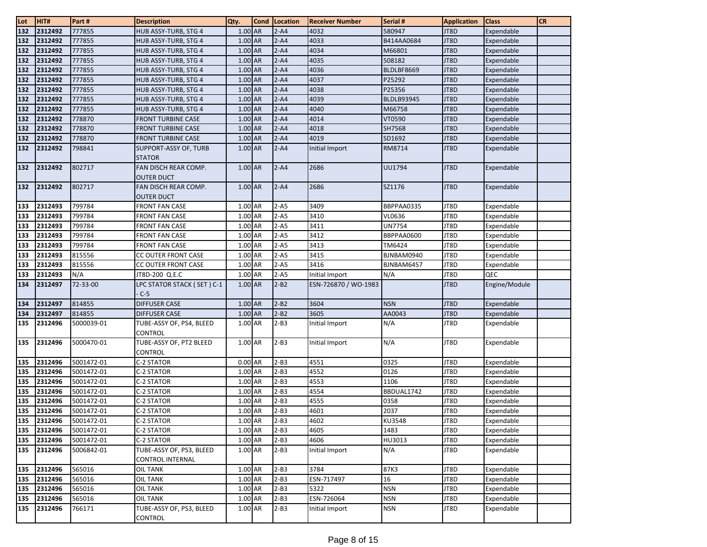| $\frac{\text{Lot}}{\text{132}}$ | HIT#    | Part#      | <b>Description</b>                         | Qty.      | <b>Cond</b> | Location | <b>Receiver Number</b> | Serial #          | <b>Application</b> | <b>Class</b>  | <b>CR</b> |
|---------------------------------|---------|------------|--------------------------------------------|-----------|-------------|----------|------------------------|-------------------|--------------------|---------------|-----------|
|                                 | 2312492 | 777855     | HUB ASSY-TURB, STG 4                       | 1.00 AR   |             | $2 - A4$ | 4032                   | 580947            | JT8D               | Expendable    |           |
| 132                             | 2312492 | 777855     | HUB ASSY-TURB, STG 4                       | 1.00 AR   |             | $2 - A4$ | 4033                   | B414AA0684        | JT8D               | Expendable    |           |
| 132                             | 2312492 | 777855     | HUB ASSY-TURB, STG 4                       | 1.00 AR   |             | $2 - A4$ | 4034                   | M66801            | JT8D               | Expendable    |           |
| 132                             | 2312492 | 777855     | HUB ASSY-TURB, STG 4                       | $1.00$ AR |             | $2 - A4$ | 4035                   | 508182            | JT8D               | Expendable    |           |
| 132                             | 2312492 | 777855     | HUB ASSY-TURB, STG 4                       | 1.00 AR   |             | $2 - A4$ | 4036                   | BLDLBF8669        | JT8D               | Expendable    |           |
| 132                             | 2312492 | 777855     | HUB ASSY-TURB, STG 4                       | 1.00 AR   |             | $2 - A4$ | 4037                   | P25292            | JT8D               | Expendable    |           |
| 132                             | 2312492 | 777855     | HUB ASSY-TURB, STG 4                       | 1.00 AR   |             | $2 - A4$ | 4038                   | P25356            | JT8D               | Expendable    |           |
| 132                             | 2312492 | 777855     | HUB ASSY-TURB, STG 4                       | 1.00 AR   |             | $2 - A4$ | 4039                   | <b>BLDLB93945</b> | JT8D               | Expendable    |           |
| 132                             | 2312492 | 777855     | HUB ASSY-TURB, STG 4                       | $1.00$ AR |             | $2 - A4$ | 4040                   | M66758            | JT8D               | Expendable    |           |
| 132                             | 2312492 | 778870     | FRONT TURBINE CASE                         | 1.00 AR   |             | $2 - A4$ | 4014                   | VT0590            | JT8D               | Expendable    |           |
| 132                             | 2312492 | 778870     | <b>FRONT TURBINE CASE</b>                  | 1.00 AR   |             | $2 - A4$ | 4018                   | SH7568            | JT8D               | Expendable    |           |
| 132                             | 2312492 | 778870     | <b>FRONT TURBINE CASE</b>                  | 1.00 AR   |             | $2 - A4$ | 4019                   | SD1692            | JT8D               | Expendable    |           |
| 132                             | 2312492 | 798841     | SUPPORT-ASSY OF, TURB<br><b>STATOR</b>     | 1.00 AR   |             | $2 - A4$ | Initial Import         | RM8714            | JT8D               | Expendable    |           |
| 132                             | 2312492 | 802717     | FAN DISCH REAR COMP.                       | 1.00 AR   |             | $2 - A4$ | 2686                   | UU1794            | JT8D               | Expendable    |           |
|                                 |         |            | <b>OUTER DUCT</b>                          |           |             |          |                        |                   |                    |               |           |
| 132                             | 2312492 | 802717     | FAN DISCH REAR COMP.                       | $1.00$ AR |             | $2 - A4$ | 2686                   | SZ1176            | JT8D               | Expendable    |           |
|                                 |         |            | <b>OUTER DUCT</b>                          |           |             |          |                        |                   |                    |               |           |
| 133                             | 2312493 | 799784     | <b>FRONT FAN CASE</b>                      | 1.00 AR   |             | $2-A5$   | 3409                   | BBPPAA0335        | JT8D               | Expendable    |           |
| 133                             | 2312493 | 799784     | <b>FRONT FAN CASE</b>                      | 1.00 AR   |             | $2 - A5$ | 3410                   | VL0636            | JT8D               | Expendable    |           |
| 133                             | 2312493 | 799784     | <b>FRONT FAN CASE</b>                      | 1.00 AR   |             | $2 - A5$ | 3411                   | UN7754            | JT8D               | Expendable    |           |
| 133                             | 2312493 | 799784     | <b>FRONT FAN CASE</b>                      | 1.00 AR   |             | $2 - A5$ | 3412                   | BBPPAA0600        | JT8D               | Expendable    |           |
| 133                             | 2312493 | 799784     | <b>FRONT FAN CASE</b>                      | 1.00 AR   |             | $2 - A5$ | 3413                   | TM6424            | JT8D               | Expendable    |           |
| 133                             | 2312493 | 815556     | CC OUTER FRONT CASE                        | 1.00 AR   |             | $2-A5$   | 3415                   | BJNBAM0940        | JT8D               | Expendable    |           |
| 133                             | 2312493 | 815556     | CC OUTER FRONT CASE                        | 1.00 AR   |             | $2 - A5$ | 3416                   | BJNBAM6457        | JT8D               | Expendable    |           |
| 133                             | 2312493 | N/A        | JT8D-200 Q.E.C                             | 1.00 AR   |             | $2 - A5$ | Initial Import         | N/A               | JT8D               | QEC           |           |
| 134                             | 2312497 | 72-33-00   | LPC STATOR STACK ( SET ) C-1<br>$C-5$      | 1.00 AR   |             | $2 - B2$ | ESN-726870 / WO-1983   |                   | JT8D               | Engine/Module |           |
| 134                             | 2312497 | 814855     | <b>DIFFUSER CASE</b>                       | 1.00 AR   |             | $2 - B2$ | 3604                   | <b>NSN</b>        | JT8D               | Expendable    |           |
| 134                             | 2312497 | 814855     | <b>DIFFUSER CASE</b>                       | 1.00 AR   |             | $2-B2$   | 3605                   | AA0043            | JT8D               | Expendable    |           |
| 135                             | 2312496 | 5000039-01 | TUBE-ASSY OF, PS4, BLEED<br><b>CONTROL</b> | 1.00 AR   |             | $2-B3$   | Initial Import         | N/A               | JT8D               | Expendable    |           |
| 135                             | 2312496 | 5000470-01 | TUBE-ASSY OF, PT2 BLEED<br><b>CONTROL</b>  | 1.00 AR   |             | $2-B3$   | Initial Import         | N/A               | JT8D               | Expendable    |           |
| 135                             | 2312496 | 5001472-01 | C-2 STATOR                                 | 0.00 AR   |             | $2 - B3$ | 4551                   | 0325              | JT8D               | Expendable    |           |
| 135                             | 2312496 | 5001472-01 | C-2 STATOR                                 | 1.00 AR   |             | $2-B3$   | 4552                   | 0126              | JT8D               | Expendable    |           |
| 135                             | 2312496 | 5001472-01 | C-2 STATOR                                 | 1.00 AR   |             | $2-B3$   | 4553                   | 1106              | JT8D               | Expendable    |           |
| 135                             | 2312496 | 5001472-01 | C-2 STATOR                                 | 1.00 AR   |             | $2-B3$   | 4554                   | BBDUAL1742        | JT8D               | Expendable    |           |
| 135                             | 2312496 | 5001472-01 | C-2 STATOR                                 | 1.00 AR   |             | $2-B3$   | 4555                   | 0358              | JT8D               | Expendable    |           |
| 135                             | 2312496 | 5001472-01 | C-2 STATOR                                 | 1.00 AR   |             | $2-B3$   | 4601                   | 2037              | JT8D               | Expendable    |           |
| 135                             | 2312496 | 5001472-01 | <b>C-2 STATOR</b>                          | 1.00 AR   |             | $2-B3$   | 4602                   | KU3548            | JT8D               | Expendable    |           |
| 135                             | 2312496 | 5001472-01 | C-2 STATOR                                 | 1.00 AR   |             | $2-B3$   | 4605                   | 1483              | JT8D               | Expendable    |           |
| 135                             | 2312496 | 5001472-01 | C-2 STATOR                                 | 1.00 AR   |             | $2-B3$   | 4606                   | HU3013            | JT8D               | Expendable    |           |
| 135                             | 2312496 | 5006842-01 | TUBE-ASSY OF, PS3, BLEED                   | 1.00 AR   |             | $2-B3$   | Initial Import         | N/A               | JT8D               | Expendable    |           |
|                                 |         |            | <b>CONTROL INTERNAL</b>                    |           |             |          |                        |                   |                    |               |           |
| 135                             | 2312496 | 565016     | <b>OIL TANK</b>                            | 1.00 AR   |             | $2-B3$   | 3784                   | 87K3              | JT8D               | Expendable    |           |
| 135                             | 2312496 | 565016     | OIL TANK                                   | 1.00 AR   |             | $2-B3$   | ESN-717497             | 16                | JT8D               | Expendable    |           |
| 135                             | 2312496 | 565016     | OIL TANK                                   | 1.00 AR   |             | $2-B3$   | 5322                   | <b>NSN</b>        | JT8D               | Expendable    |           |
| 135                             | 2312496 | 565016     | <b>OIL TANK</b>                            | 1.00 AR   |             | $2-B3$   | ESN-726064             | <b>NSN</b>        | JT8D               | Expendable    |           |
| 135                             | 2312496 | 766171     | TUBE-ASSY OF, PS3, BLEED<br><b>CONTROL</b> | 1.00 AR   |             | $2 - B3$ | Initial Import         | <b>NSN</b>        | JT8D               | Expendable    |           |
|                                 |         |            |                                            |           |             |          |                        |                   |                    |               |           |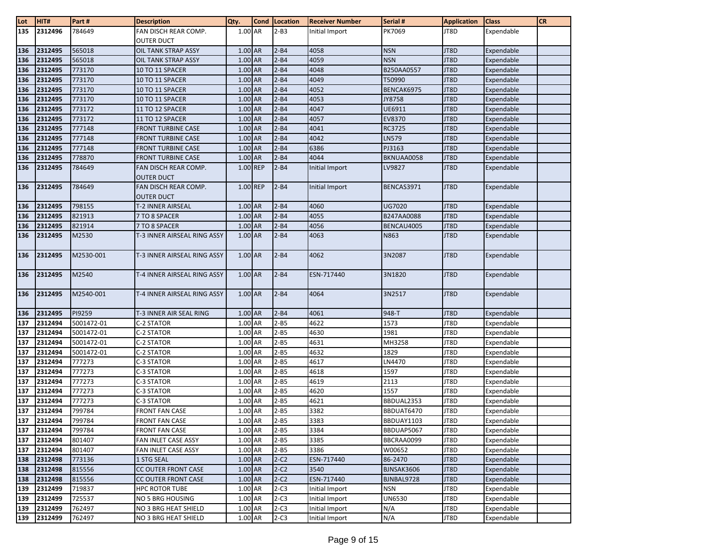| $\frac{\text{Lot}}{135}$ | HIT#               | Part#            | <b>Description</b>                        | Qty.               | <b>Cond</b> | Location         | <b>Receiver Number</b>           | Serial #      | <b>Application</b> | <b>Class</b>             | <b>CR</b> |
|--------------------------|--------------------|------------------|-------------------------------------------|--------------------|-------------|------------------|----------------------------------|---------------|--------------------|--------------------------|-----------|
|                          | 2312496            | 784649           | FAN DISCH REAR COMP.                      | 1.00 AR            |             | $2-B3$           | Initial Import                   | PK7069        | JT8D               | Expendable               |           |
|                          |                    |                  | <b>OUTER DUCT</b>                         |                    |             |                  |                                  |               |                    |                          |           |
| 136                      | 2312495            | 565018           | OIL TANK STRAP ASSY                       | $1.00$ AR          |             | $2 - B4$         | 4058                             | <b>NSN</b>    | JT8D               | Expendable               |           |
| 136                      | 2312495            | 565018           | OIL TANK STRAP ASSY                       | 1.00 AR            |             | $2 - B4$         | 4059                             | <b>NSN</b>    | JT8D               | Expendable               |           |
| 136                      | 2312495            | 773170           | 10 TO 11 SPACER                           | 1.00 AR            |             | $2 - B4$         | 4048                             | B250AA0557    | JT8D               | Expendable               |           |
| 136                      | 2312495            | 773170           | 10 TO 11 SPACER                           | 1.00 AR            |             | $2 - B4$         | 4049                             | T50990        | JT8D               | Expendable               |           |
| 136                      | 2312495            | 773170           | 10 TO 11 SPACER                           | 1.00 AR            |             | $2 - B4$         | 4052                             | BENCAK6975    | JT8D               | Expendable               |           |
| 136                      | 2312495            | 773170           | 10 TO 11 SPACER                           | 1.00 AR            |             | $2 - B4$         | 4053                             | JY8758        | JT8D               | Expendable               |           |
| 136                      | 2312495            | 773172           | 11 TO 12 SPACER                           | $1.00$ AR          |             | $2 - B4$         | 4047                             | UE6911        | JT8D               | Expendable               |           |
| 136                      | 2312495            | 773172           | 11 TO 12 SPACER                           | 1.00 AR            |             | $2 - B4$         | 4057                             | EV8370        | JT8D               | Expendable               |           |
| 136                      | 2312495            | 777148           | <b>FRONT TURBINE CASE</b>                 | 1.00 AR            |             | $2 - B4$         | 4041                             | RC3725        | JT8D               | Expendable               |           |
| 136                      | 2312495            | 777148           | <b>FRONT TURBINE CASE</b>                 | $1.00$ AR          |             | $2 - B4$         | 4042                             | LN579         | JT8D               | Expendable               |           |
| 136                      | 2312495            | 777148           | <b>FRONT TURBINE CASE</b>                 | 1.00 AR            |             | $2 - B4$         | 6386                             | PJ3163        | JT8D               | Expendable               |           |
| 136                      | 2312495            | 778870           | <b>FRONT TURBINE CASE</b>                 | 1.00 AR            |             | $2 - B4$         | 4044                             | BKNUAA0058    | JT8D               | Expendable               |           |
| 136                      | 2312495            | 784649           | FAN DISCH REAR COMP.<br><b>OUTER DUCT</b> | 1.00 REP           |             | $2 - B4$         | Initial Import                   | LV9827        | JT8D               | Expendable               |           |
| 136                      | 2312495            | 784649           | FAN DISCH REAR COMP.<br><b>OUTER DUCT</b> | 1.00 REP           |             | $2 - B4$         | Initial Import                   | BENCAS3971    | JT8D               | Expendable               |           |
| 136                      | 2312495            | 798155           | T-2 INNER AIRSEAL                         | 1.00 AR            |             | $2 - B4$         | 4060                             | UG7020        | JT8D               | Expendable               |           |
| 136                      | 2312495            | 821913           | 7 TO 8 SPACER                             | $1.00$ AR          |             | $2 - B4$         | 4055                             | B247AA0088    | JT8D               | Expendable               |           |
| 136                      | 2312495            | 821914           | 7 TO 8 SPACER                             | 1.00 AR            |             | $2 - B4$         | 4056                             | BENCAU4005    | JT8D               | Expendable               |           |
| 136                      | 2312495            | M2530            | T-3 INNER AIRSEAL RING ASSY               | 1.00 AR            |             | $2 - B4$         | 4063                             | N863          | JT8D               | Expendable               |           |
| 136                      | 2312495            | M2530-001        | T-3 INNER AIRSEAL RING ASSY               | 1.00 AR            |             | $2 - B4$         | 4062                             | 3N2087        | JT8D               | Expendable               |           |
| 136                      | 2312495            | M2540            | T-4 INNER AIRSEAL RING ASSY               | 1.00 AR            |             | $2 - B4$         | ESN-717440                       | 3N1820        | JT8D               | Expendable               |           |
| 136                      | 2312495            | M2540-001        | T-4 INNER AIRSEAL RING ASSY               | $1.00$ AR          |             | $2 - B4$         | 4064                             | 3N2517        | JT8D               | Expendable               |           |
| 136                      | 2312495            | PI9259           | T-3 INNER AIR SEAL RING                   | 1.00 AR            |             | $2 - B4$         | 4061                             | 948-T         | JT8D               | Expendable               |           |
| 137                      | 2312494            | 5001472-01       | C-2 STATOR                                | 1.00 AR            |             | $2 - B5$         | 4622                             | 1573          | JT8D               | Expendable               |           |
| 137                      | 2312494            | 5001472-01       | C-2 STATOR                                | 1.00 AR            |             | $2 - B5$         | 4630                             | 1981          | JT8D               | Expendable               |           |
| 137                      | 2312494            | 5001472-01       | C-2 STATOR                                | 1.00 AR            |             | $2 - B5$         | 4631                             | MH3258        | JT8D               | Expendable               |           |
| 137                      | 2312494            | 5001472-01       | C-2 STATOR                                | 1.00 AR            |             | $2 - B5$         | 4632                             | 1829          | JT8D               | Expendable               |           |
| 137                      | 2312494            | 777273           | C-3 STATOR                                | 1.00 AR            |             | $2 - B5$         | 4617                             | LN4470        | JT8D               | Expendable               |           |
| 137                      | 2312494            | 777273           | C-3 STATOR                                | 1.00 AR            |             | $2 - B5$         | 4618                             | 1597          | JT8D               | Expendable               |           |
| 137                      | 2312494            | 777273           | C-3 STATOR                                | 1.00 AR            |             | $2 - B5$         | 4619                             | 2113          | JT8D               | Expendable               |           |
| 137                      | 2312494            | 777273           | C-3 STATOR                                | 1.00 AR            |             | $2 - B5$         | 4620                             | 1557          | JT8D               | Expendable               |           |
| 137                      | 2312494            | 777273           | C-3 STATOR                                | 1.00 AR            |             | $2 - B5$         | 4621                             | BBDUAL2353    | JT8D               | Expendable               |           |
| 137                      | 2312494            | 799784           | <b>FRONT FAN CASE</b>                     | 1.00 AR            |             | $2 - B5$         | 3382                             | BBDUAT6470    | JT8D               | Expendable               |           |
| 137                      | 2312494            | 799784           | <b>FRONT FAN CASE</b>                     | 1.00 AR            |             | $2 - B5$         | 3383                             | BBDUAY1103    | JT8D               | Expendable               |           |
| 137                      | 2312494            | 799784           | <b>FRONT FAN CASE</b>                     | 1.00 AR            |             | $2 - B5$         | 3384                             | BBDUAP5067    | JT8D               | Expendable               |           |
| 137                      | 2312494            | 801407           | FAN INLET CASE ASSY                       | 1.00 AR            |             | $2 - B5$         | 3385                             | BBCRAA0099    | JT8D               | Expendable               |           |
| 137                      | 2312494            | 801407           | FAN INLET CASE ASSY                       | 1.00 AR            |             | $2 - B5$         | 3386                             | W00652        | JT8D               | Expendable               |           |
| 138                      | 2312498            | 773136           | 1 STG SEAL                                | 1.00 AR            |             | $2-C2$           | ESN-717440                       | 86-2470       | JT8D               | Expendable               |           |
| 138                      | 2312498            | 815556           | CC OUTER FRONT CASE                       | 1.00 AR            |             | $2-C2$           | 3540                             | BJNSAK3606    | JT8D               | Expendable               |           |
| 138                      | 2312498            | 815556           | CC OUTER FRONT CASE                       | 1.00 AR            |             | $2-C2$           | ESN-717440                       | BJNBAL9728    | JT8D               | Expendable               |           |
| 139                      | 2312499            | 719837           | <b>HPC ROTOR TUBE</b>                     | 1.00 AR            |             | $2-C3$<br>$2-C3$ | Initial Import                   | <b>NSN</b>    | JT8D               | Expendable               |           |
| 139<br>139               | 2312499<br>2312499 | 725537<br>762497 | NO 5 BRG HOUSING<br>NO 3 BRG HEAT SHIELD  | 1.00 AR<br>1.00 AR |             | $2-C3$           | Initial Import<br>Initial Import | UN6530<br>N/A | JT8D<br>JT8D       | Expendable<br>Expendable |           |
| 139                      | 2312499            | 762497           | NO 3 BRG HEAT SHIELD                      | 1.00 AR            |             | $2-C3$           | Initial Import                   | N/A           | JT8D               | Expendable               |           |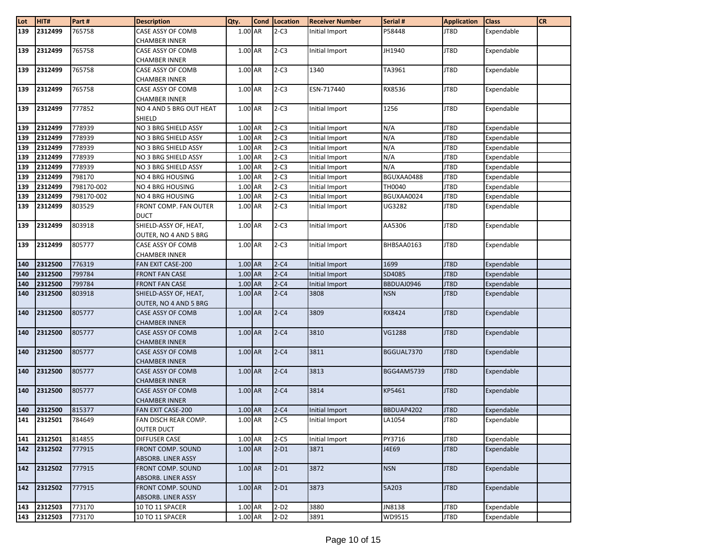| Lot              | HIT#        | Part#      | <b>Description</b>                        | Qty.      | Cond Location | <b>Receiver Number</b> | Serial #   | <b>Application</b> | <b>Class</b> | <b>CR</b> |
|------------------|-------------|------------|-------------------------------------------|-----------|---------------|------------------------|------------|--------------------|--------------|-----------|
| $\overline{139}$ | 2312499     | 765758     | CASE ASSY OF COMB                         | 1.00 AR   | $2-C3$        | Initial Import         | P58448     | JT8D               | Expendable   |           |
|                  |             |            | <b>CHAMBER INNER</b>                      |           |               |                        |            |                    |              |           |
| 139              | 2312499     | 765758     | CASE ASSY OF COMB                         | 1.00 AR   | $2-C3$        | Initial Import         | JH1940     | JT8D               | Expendable   |           |
|                  |             |            | <b>CHAMBER INNER</b>                      |           |               |                        |            |                    |              |           |
| 139              | 2312499     | 765758     | CASE ASSY OF COMB                         | 1.00 AR   | $2-C3$        | 1340                   | TA3961     | JT8D               | Expendable   |           |
|                  |             |            | <b>CHAMBER INNER</b>                      |           |               |                        |            |                    |              |           |
| 139              | 2312499     | 765758     | CASE ASSY OF COMB                         | 1.00 AR   | $2-C3$        | ESN-717440             | RX8536     | JT8D               | Expendable   |           |
|                  |             |            | <b>CHAMBER INNER</b>                      |           |               |                        |            |                    |              |           |
| 139              | 2312499     | 777852     | NO 4 AND 5 BRG OUT HEAT                   | 1.00 AR   | $2-C3$        | Initial Import         | 1256       | JT8D               | Expendable   |           |
|                  |             |            | <b>SHIELD</b>                             |           |               |                        |            |                    |              |           |
| 139              | 2312499     | 778939     | NO 3 BRG SHIELD ASSY                      | $1.00$ AR | $2-C3$        | Initial Import         | N/A        | JT8D               | Expendable   |           |
| 139              | 2312499     | 778939     | NO 3 BRG SHIELD ASSY                      | 1.00 AR   | $2-C3$        | Initial Import         | N/A        | JT8D               | Expendable   |           |
| 139              | 2312499     | 778939     | NO 3 BRG SHIELD ASSY                      | $1.00$ AR | $2-C3$        | Initial Import         | N/A        | JT8D               | Expendable   |           |
| 139              | 2312499     | 778939     | NO 3 BRG SHIELD ASSY                      | 1.00 AR   | $2-C3$        | Initial Import         | N/A        | JT8D               | Expendable   |           |
| 139              | 2312499     | 778939     | NO 3 BRG SHIELD ASSY                      | 1.00 AR   | $2-C3$        | Initial Import         | N/A        | JT8D               | Expendable   |           |
| 139              | 2312499     | 798170     | NO 4 BRG HOUSING                          | 1.00 AR   | $2-C3$        | Initial Import         | BGUXAA0488 | JT8D               | Expendable   |           |
| 139              | 2312499     | 798170-002 | NO 4 BRG HOUSING                          | 1.00 AR   | $2-C3$        | Initial Import         | TH0040     | JT8D               | Expendable   |           |
| 139              | 2312499     | 798170-002 | NO 4 BRG HOUSING                          | 1.00 AR   | $2-C3$        | Initial Import         | BGUXAA0024 | JT8D               | Expendable   |           |
| 139              | 2312499     | 803529     | <b>FRONT COMP. FAN OUTER</b>              | 1.00 AR   | $2-C3$        | Initial Import         | UG3282     | JT8D               | Expendable   |           |
|                  |             |            | <b>DUCT</b>                               |           |               |                        |            |                    |              |           |
| 139              | 2312499     | 803918     | SHIELD-ASSY OF, HEAT,                     | 1.00 AR   | $2-C3$        | Initial Import         | AA5306     | JT8D               | Expendable   |           |
|                  |             |            | OUTER, NO 4 AND 5 BRG                     |           |               |                        |            |                    |              |           |
| 139              | 2312499     | 805777     | CASE ASSY OF COMB                         | 1.00 AR   | $2-C3$        | Initial Import         | BHBSAA0163 | JT8D               | Expendable   |           |
|                  |             |            | <b>CHAMBER INNER</b>                      |           |               |                        |            |                    |              |           |
| 140              | 2312500     | 776319     | FAN EXIT CASE-200                         | 1.00 AR   | $2-C4$        | Initial Import         | 1699       | JT8D               | Expendable   |           |
| 140              | 2312500     | 799784     | <b>FRONT FAN CASE</b>                     | 1.00 AR   | $2-C4$        | Initial Import         | SD4085     | JT8D               | Expendable   |           |
| 140              | 2312500     | 799784     | <b>FRONT FAN CASE</b>                     | 1.00 AR   | $2-C4$        | Initial Import         | BBDUAJ0946 | JT8D               | Expendable   |           |
| 140              | 2312500     | 803918     | SHIELD-ASSY OF, HEAT,                     | 1.00 AR   | $2-C4$        | 3808                   | <b>NSN</b> | JT8D               | Expendable   |           |
|                  |             |            | OUTER, NO 4 AND 5 BRG                     |           |               |                        |            |                    |              |           |
| 140              | 2312500     | 805777     | CASE ASSY OF COMB                         | $1.00$ AR | $2-C4$        | 3809                   | RX8424     | JT8D               | Expendable   |           |
| 140              |             | 805777     | <b>CHAMBER INNER</b><br>CASE ASSY OF COMB | 1.00 AR   | $2-C4$        | 3810                   |            | JT8D               |              |           |
|                  | 2312500     |            | <b>CHAMBER INNER</b>                      |           |               |                        | VG1288     |                    | Expendable   |           |
| 140              | 2312500     | 805777     | CASE ASSY OF COMB                         | 1.00 AR   | $2-C4$        | 3811                   | BGGUAL7370 | JT8D               | Expendable   |           |
|                  |             |            | <b>CHAMBER INNER</b>                      |           |               |                        |            |                    |              |           |
| 140              | 2312500     | 805777     | CASE ASSY OF COMB                         | 1.00 AR   | $2-C4$        | 3813                   | BGG4AM5739 | JT8D               | Expendable   |           |
|                  |             |            | <b>CHAMBER INNER</b>                      |           |               |                        |            |                    |              |           |
| 140              | 2312500     | 805777     | CASE ASSY OF COMB                         | $1.00$ AR | $2-C4$        | 3814                   | KP5461     | JT8D               | Expendable   |           |
|                  |             |            | <b>CHAMBER INNER</b>                      |           |               |                        |            |                    |              |           |
| 140              | 2312500     | 815377     | FAN EXIT CASE-200                         | 1.00 AR   | $2-C4$        | Initial Import         | BBDUAP4202 | JT8D               | Expendable   |           |
|                  | 141 2312501 | 784649     | FAN DISCH REAR COMP.                      | 1.00 AR   | $2-C5$        | Initial Import         | LA1054     | JT8D               | Expendable   |           |
|                  |             |            | <b>OUTER DUCT</b>                         |           |               |                        |            |                    |              |           |
| 141              | 2312501     | 814855     | DIFFUSER CASE                             | 1.00 AR   | $2-C5$        | Initial Import         | PY3716     | JT8D               | Expendable   |           |
| 142              | 2312502     | 777915     | FRONT COMP. SOUND                         | 1.00 AR   | $2-D1$        | 3871                   | J4E69      | JT8D               | Expendable   |           |
|                  |             |            | ABSORB. LINER ASSY                        |           |               |                        |            |                    |              |           |
| 142              | 2312502     | 777915     | FRONT COMP. SOUND                         | 1.00 AR   | $2-D1$        | 3872                   | <b>NSN</b> | JT8D               | Expendable   |           |
|                  |             |            | ABSORB. LINER ASSY                        |           |               |                        |            |                    |              |           |
| 142              | 2312502     | 777915     | FRONT COMP. SOUND                         | 1.00 AR   | $2-D1$        | 3873                   | 5A203      | JT8D               | Expendable   |           |
|                  |             |            | ABSORB. LINER ASSY                        |           |               |                        |            |                    |              |           |
| 143              | 2312503     | 773170     | 10 TO 11 SPACER                           | 1.00 AR   | $2-D2$        | 3880                   | JN8138     | JT8D               | Expendable   |           |
| 143              | 2312503     | 773170     | 10 TO 11 SPACER                           | 1.00 AR   | $2-D2$        | 3891                   | WD9515     | JT8D               | Expendable   |           |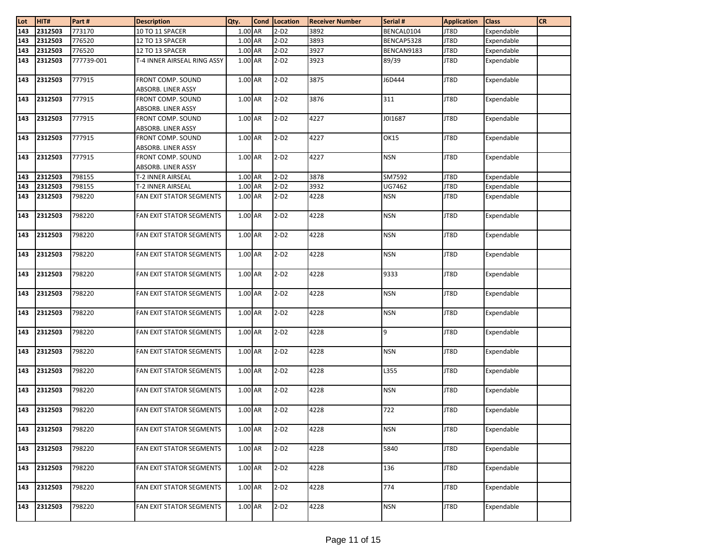| Lot              | HIT#    | Part#      | <b>Description</b>                             | Qty.      | <b>Cond</b> | Location | <b>Receiver Number</b> | Serial #    | <b>Application</b> | <b>Class</b> | <b>CR</b> |
|------------------|---------|------------|------------------------------------------------|-----------|-------------|----------|------------------------|-------------|--------------------|--------------|-----------|
| $\overline{143}$ | 2312503 | 773170     | 10 TO 11 SPACER                                | $1.00$ AR |             | $2-D2$   | 3892                   | BENCAL0104  | JT8D               | Expendable   |           |
| 143              | 2312503 | 776520     | 12 TO 13 SPACER                                | 1.00 AR   |             | $2-D2$   | 3893                   | BENCAP5328  | JT8D               | Expendable   |           |
| 143              | 2312503 | 776520     | 12 TO 13 SPACER                                | 1.00 AR   |             | $2-D2$   | 3927                   | BENCAN9183  | JT8D               | Expendable   |           |
| 143              | 2312503 | 777739-001 | T-4 INNER AIRSEAL RING ASSY                    | 1.00 AR   |             | $2-D2$   | 3923                   | 89/39       | JT8D               | Expendable   |           |
| 143              | 2312503 | 777915     | FRONT COMP. SOUND<br>ABSORB. LINER ASSY        | $1.00$ AR |             | $2-D2$   | 3875                   | J6D444      | JT8D               | Expendable   |           |
| 143              | 2312503 | 777915     | FRONT COMP. SOUND<br>ABSORB. LINER ASSY        | 1.00 AR   |             | $2-D2$   | 3876                   | 311         | JT8D               | Expendable   |           |
| 143              | 2312503 | 777915     | FRONT COMP. SOUND<br>ABSORB. LINER ASSY        | 1.00 AR   |             | $2-D2$   | 4227                   | J0I1687     | JT8D               | Expendable   |           |
| 143              | 2312503 | 777915     | <b>FRONT COMP. SOUND</b><br>ABSORB. LINER ASSY | $1.00$ AR |             | $2-D2$   | 4227                   | <b>OK15</b> | JT8D               | Expendable   |           |
| 143              | 2312503 | 777915     | FRONT COMP. SOUND<br>ABSORB. LINER ASSY        | $1.00$ AR |             | $2-D2$   | 4227                   | <b>NSN</b>  | JT8D               | Expendable   |           |
| 143              | 2312503 | 798155     | T-2 INNER AIRSEAL                              | $1.00$ AR |             | $2-D2$   | 3878                   | SM7592      | JT8D               | Expendable   |           |
| 143              | 2312503 | 798155     | T-2 INNER AIRSEAL                              | 1.00 AR   |             | $2-D2$   | 3932                   | UG7462      | JT8D               | Expendable   |           |
| 143              | 2312503 | 798220     | FAN EXIT STATOR SEGMENTS                       | $1.00$ AR |             | $2-D2$   | 4228                   | <b>NSN</b>  | JT8D               | Expendable   |           |
| 143              | 2312503 | 798220     | FAN EXIT STATOR SEGMENTS                       | 1.00 AR   |             | $2-D2$   | 4228                   | <b>NSN</b>  | JT8D               | Expendable   |           |
| 143              | 2312503 | 798220     | FAN EXIT STATOR SEGMENTS                       | 1.00 AR   |             | $2-D2$   | 4228                   | <b>NSN</b>  | JT8D               | Expendable   |           |
| 143              | 2312503 | 798220     | FAN EXIT STATOR SEGMENTS                       | 1.00 AR   |             | $2-D2$   | 4228                   | <b>NSN</b>  | JT8D               | Expendable   |           |
| 143              | 2312503 | 798220     | FAN EXIT STATOR SEGMENTS                       | 1.00 AR   |             | $2-D2$   | 4228                   | 9333        | JT8D               | Expendable   |           |
| 143              | 2312503 | 798220     | FAN EXIT STATOR SEGMENTS                       | 1.00 AR   |             | $2-D2$   | 4228                   | <b>NSN</b>  | JT8D               | Expendable   |           |
| 143              | 2312503 | 798220     | FAN EXIT STATOR SEGMENTS                       | $1.00$ AR |             | $2-D2$   | 4228                   | <b>NSN</b>  | JT8D               | Expendable   |           |
| 143              | 2312503 | 798220     | FAN EXIT STATOR SEGMENTS                       | 1.00 AR   |             | $2-D2$   | 4228                   | 9           | JT8D               | Expendable   |           |
| 143              | 2312503 | 798220     | FAN EXIT STATOR SEGMENTS                       | 1.00 AR   |             | $2-D2$   | 4228                   | <b>NSN</b>  | JT8D               | Expendable   |           |
| 143              | 2312503 | 798220     | FAN EXIT STATOR SEGMENTS                       | 1.00 AR   |             | $2-D2$   | 4228                   | L355        | JT8D               | Expendable   |           |
| 143              | 2312503 | 798220     | FAN EXIT STATOR SEGMENTS                       | 1.00 AR   |             | $2-D2$   | 4228                   | <b>NSN</b>  | JT8D               | Expendable   |           |
| 143              | 2312503 | 798220     | FAN EXIT STATOR SEGMENTS                       | 1.00 AR   |             | $2-D2$   | 4228                   | 722         | JT8D               | Expendable   |           |
| 143              | 2312503 | 798220     | FAN EXIT STATOR SEGMENTS                       | 1.00 AR   |             | $2-D2$   | 4228                   | NSN         | JT8D               | Expendable   |           |
| 143              | 2312503 | 798220     | FAN EXIT STATOR SEGMENTS                       | 1.00 AR   |             | $2-D2$   | 4228                   | 5840        | JT8D               | Expendable   |           |
| 143              | 2312503 | 798220     | FAN EXIT STATOR SEGMENTS                       | 1.00 AR   |             | $2-D2$   | 4228                   | 136         | JT8D               | Expendable   |           |
| 143              | 2312503 | 798220     | FAN EXIT STATOR SEGMENTS                       | 1.00 AR   |             | $2-D2$   | 4228                   | 774         | JT8D               | Expendable   |           |
| 143              | 2312503 | 798220     | FAN EXIT STATOR SEGMENTS                       | 1.00 AR   |             | $2-D2$   | 4228                   | <b>NSN</b>  | JT8D               | Expendable   |           |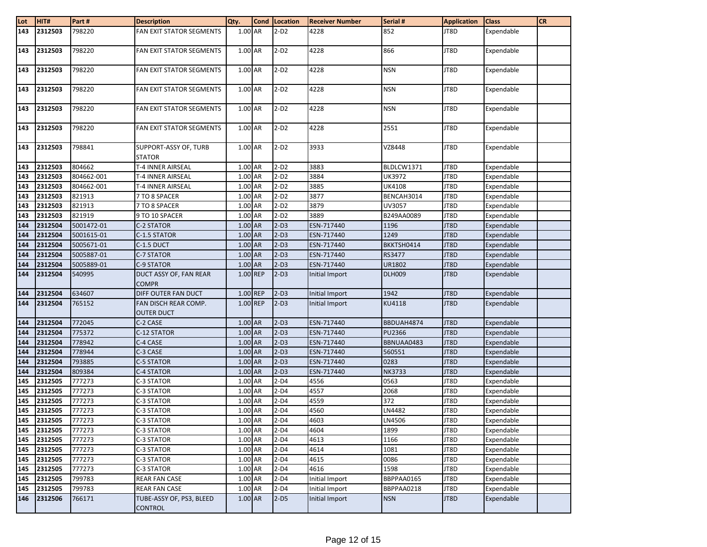| Lot              | HIT#        | Part#      | <b>Description</b>                         | Qty.      | Cond   Location | <b>Receiver Number</b> | Serial #      | <b>Application</b> | <b>Class</b> | <b>CR</b> |
|------------------|-------------|------------|--------------------------------------------|-----------|-----------------|------------------------|---------------|--------------------|--------------|-----------|
| $\overline{143}$ | 2312503     | 798220     | FAN EXIT STATOR SEGMENTS                   | 1.00 AR   | $2-D2$          | 4228                   | 852           | JT8D               | Expendable   |           |
| 143              | 2312503     | 798220     | FAN EXIT STATOR SEGMENTS                   | 1.00 AR   | $2-D2$          | 4228                   | 866           | JT8D               | Expendable   |           |
| 143              | 2312503     | 798220     | <b>FAN EXIT STATOR SEGMENTS</b>            | $1.00$ AR | $2-D2$          | 4228                   | <b>NSN</b>    | JT8D               | Expendable   |           |
| 143              | 2312503     | 798220     | FAN EXIT STATOR SEGMENTS                   | 1.00 AR   | $2-D2$          | 4228                   | <b>NSN</b>    | JT8D               | Expendable   |           |
| 143              | 2312503     | 798220     | FAN EXIT STATOR SEGMENTS                   | 1.00 AR   | $2-D2$          | 4228                   | <b>NSN</b>    | JT8D               | Expendable   |           |
| 143              | 2312503     | 798220     | <b>FAN EXIT STATOR SEGMENTS</b>            | 1.00 AR   | $2-D2$          | 4228                   | 2551          | JT8D               | Expendable   |           |
| 143              | 2312503     | 798841     | SUPPORT-ASSY OF, TURB<br><b>STATOR</b>     | 1.00 AR   | $2-D2$          | 3933                   | VZ8448        | JT8D               | Expendable   |           |
| 143              | 2312503     | 804662     | T-4 INNER AIRSEAL                          | 1.00 AR   | $2-D2$          | 3883                   | BLDLCW1371    | JT8D               | Expendable   |           |
| 143              | 2312503     | 804662-001 | T-4 INNER AIRSEAL                          | 1.00 AR   | $2-D2$          | 3884                   | UK3972        | JT8D               | Expendable   |           |
| 143              | 2312503     | 804662-001 | T-4 INNER AIRSEAL                          | 1.00 AR   | $2-D2$          | 3885                   | <b>UK4108</b> | JT8D               | Expendable   |           |
| 143              | 2312503     | 821913     | 7 TO 8 SPACER                              | 1.00 AR   | $2-D2$          | 3877                   | BENCAH3014    | JT8D               | Expendable   |           |
| 143              | 2312503     | 821913     | 7 TO 8 SPACER                              | 1.00 AR   | $2-D2$          | 3879                   | UV3057        | JT8D               | Expendable   |           |
| 143              | 2312503     | 821919     | 9 TO 10 SPACER                             | 1.00 AR   | $2-D2$          | 3889                   | B249AA0089    | JT8D               | Expendable   |           |
| 144              | 2312504     | 5001472-01 | C-2 STATOR                                 | $1.00$ AR | $2-D3$          | ESN-717440             | 1196          | JT8D               | Expendable   |           |
| 144              | 2312504     | 5001615-01 | C-1.5 STATOR                               | 1.00 AR   | $2-D3$          | ESN-717440             | 1249          | JT8D               | Expendable   |           |
| 144              | 2312504     | 5005671-01 | C-1.5 DUCT                                 | 1.00 AR   | $2-D3$          | ESN-717440             | BKKTSH0414    | JT8D               | Expendable   |           |
| 144              | 2312504     | 5005887-01 | C-7 STATOR                                 | 1.00 AR   | $2-D3$          | ESN-717440             | RS3477        | JT8D               | Expendable   |           |
| 144              | 2312504     | 5005889-01 | C-9 STATOR                                 | $1.00$ AR | $2-D3$          | ESN-717440             | UR1802        | JT8D               | Expendable   |           |
| 144              | 2312504     | 540995     | DUCT ASSY OF, FAN REAR<br><b>COMPR</b>     | 1.00 REP  | $2-D3$          | Initial Import         | <b>DLH009</b> | JT8D               | Expendable   |           |
| 144              | 2312504     | 634607     | DIFF OUTER FAN DUCT                        | 1.00 REP  | $2-D3$          | Initial Import         | 1942          | JT8D               | Expendable   |           |
| 144              | 2312504     | 765152     | FAN DISCH REAR COMP.<br><b>OUTER DUCT</b>  | 1.00 REP  | $2-D3$          | Initial Import         | KU4118        | JT8D               | Expendable   |           |
| 144              | 2312504     | 772045     | C-2 CASE                                   | 1.00 AR   | $2-D3$          | ESN-717440             | BBDUAH4874    | JT8D               | Expendable   |           |
| 144              | 2312504     | 775372     | C-12 STATOR                                | $1.00$ AR | $2-D3$          | ESN-717440             | <b>PU2366</b> | JT8D               | Expendable   |           |
| 144              | 2312504     | 778942     | C-4 CASE                                   | 1.00 AR   | $2-D3$          | ESN-717440             | BBNUAA0483    | JT8D               | Expendable   |           |
| 144              | 2312504     | 778944     | C-3 CASE                                   | 1.00 AR   | $2-D3$          | ESN-717440             | 560551        | JT8D               | Expendable   |           |
| 144              | 2312504     | 793885     | C-5 STATOR                                 | 1.00 AR   | $2-D3$          | ESN-717440             | 0283          | JT8D               | Expendable   |           |
| 144              | 2312504     | 809384     | C-4 STATOR                                 | $1.00$ AR | $2-D3$          | ESN-717440             | <b>NK3733</b> | JT8D               | Expendable   |           |
| 145              | 2312505     | 777273     | C-3 STATOR                                 | 1.00 AR   | $2-D4$          | 4556                   | 0563          | JT8D               | Expendable   |           |
| 145              | 2312505     | 777273     | C-3 STATOR                                 | 1.00 AR   | $2-D4$          | 4557                   | 2068          | JT8D               | Expendable   |           |
| 145              | 2312505     | 777273     | C-3 STATOR                                 | 1.00 AR   | $2-D4$          | 4559                   | 372           | JT8D               | Expendable   |           |
| 145              | 2312505     | 777273     | C-3 STATOR                                 | 1.00 AR   | $2-D4$          | 4560                   | LN4482        | JT8D               | Expendable   |           |
|                  | 145 2312505 | 777273     | C-3 STATOR                                 | 1.00 AR   | $2-D4$          | 4603                   | LN4506        | JT8D               | Expendable   |           |
| 145              | 2312505     | 777273     | C-3 STATOR                                 | 1.00 AR   | $2-D4$          | 4604                   | 1899          | JT8D               | Expendable   |           |
| 145              | 2312505     | 777273     | C-3 STATOR                                 | 1.00 AR   | $2-D4$          | 4613                   | 1166          | JT8D               | Expendable   |           |
| 145              | 2312505     | 777273     | C-3 STATOR                                 | 1.00 AR   | $2-D4$          | 4614                   | 1081          | JT8D               | Expendable   |           |
| 145              | 2312505     | 777273     | C-3 STATOR                                 | 1.00 AR   | $2-D4$          | 4615                   | 0086          | JT8D               | Expendable   |           |
| 145              | 2312505     | 777273     | C-3 STATOR                                 | 1.00 AR   | $2-D4$          | 4616                   | 1598          | JT8D               | Expendable   |           |
| 145              | 2312505     | 799783     | <b>REAR FAN CASE</b>                       | 1.00 AR   | $2-D4$          | Initial Import         | BBPPAA0165    | JT8D               | Expendable   |           |
| 145              | 2312505     | 799783     | REAR FAN CASE                              | 1.00 AR   | $2-D4$          | Initial Import         | BBPPAA0218    | JT8D               | Expendable   |           |
| 146              | 2312506     | 766171     | TUBE-ASSY OF, PS3, BLEED<br><b>CONTROL</b> | 1.00 AR   | $2-D5$          | Initial Import         | <b>NSN</b>    | JT8D               | Expendable   |           |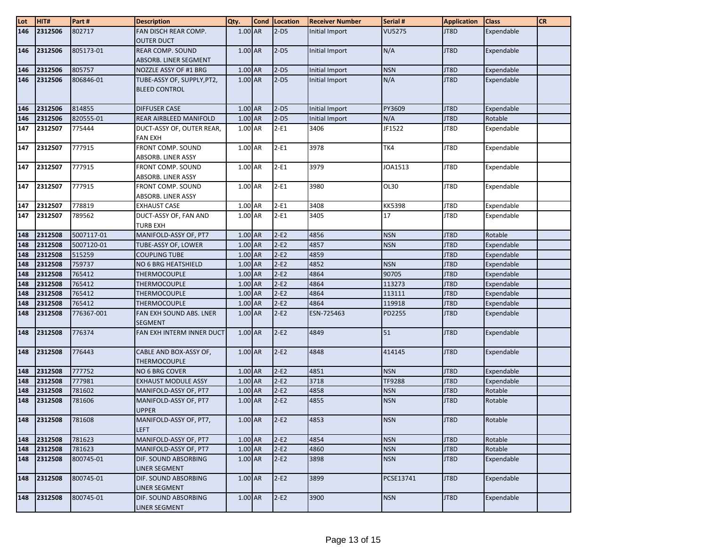| Lot | HIT#    | Part#      | <b>Description</b>                           | Qty.      | Cond Location | <b>Receiver Number</b> | Serial #      | <b>Application</b> | <b>Class</b> | <b>CR</b> |
|-----|---------|------------|----------------------------------------------|-----------|---------------|------------------------|---------------|--------------------|--------------|-----------|
| 146 | 2312506 | 802717     | FAN DISCH REAR COMP.                         | $1.00$ AR | $2-D5$        | Initial Import         | <b>VU5275</b> | JT8D               | Expendable   |           |
|     |         |            | <b>OUTER DUCT</b>                            |           |               |                        |               |                    |              |           |
| 146 | 2312506 | 805173-01  | REAR COMP. SOUND                             | 1.00 AR   | $2-D5$        | Initial Import         | N/A           | JT8D               | Expendable   |           |
|     |         |            | ABSORB. LINER SEGMENT                        |           |               |                        |               |                    |              |           |
| 146 | 2312506 | 805757     | NOZZLE ASSY OF #1 BRG                        | 1.00 AR   | $2-D5$        | Initial Import         | <b>NSN</b>    | JT8D               | Expendable   |           |
| 146 | 2312506 | 806846-01  | TUBE-ASSY OF, SUPPLY, PT2,                   | 1.00 AR   | $2-D5$        | Initial Import         | N/A           | JT8D               | Expendable   |           |
|     |         |            | <b>BLEED CONTROL</b>                         |           |               |                        |               |                    |              |           |
|     |         |            |                                              |           |               |                        |               |                    |              |           |
| 146 | 2312506 | 814855     | <b>DIFFUSER CASE</b>                         | 1.00 AR   | $2-D5$        | Initial Import         | PY3609        | JT8D               | Expendable   |           |
| 146 | 2312506 | 820555-01  | REAR AIRBLEED MANIFOLD                       | 1.00 AR   | $2-D5$        | Initial Import         | N/A           | JT8D               | Rotable      |           |
| 147 | 2312507 | 775444     | DUCT-ASSY OF, OUTER REAR,                    | 1.00 AR   | $2-E1$        | 3406                   | JF1522        | JT8D               | Expendable   |           |
|     | 2312507 | 777915     | <b>FAN EXH</b><br><b>FRONT COMP. SOUND</b>   | 1.00 AR   | $2-E1$        | 3978                   | TK4           | JT8D               |              |           |
| 147 |         |            | ABSORB. LINER ASSY                           |           |               |                        |               |                    | Expendable   |           |
| 147 | 2312507 | 777915     | FRONT COMP. SOUND                            | 1.00 AR   | $2-E1$        | 3979                   | JOA1513       | JT8D               | Expendable   |           |
|     |         |            | ABSORB. LINER ASSY                           |           |               |                        |               |                    |              |           |
| 147 | 2312507 | 777915     | FRONT COMP. SOUND                            | 1.00 AR   | $2-E1$        | 3980                   | OL30          | JT8D               | Expendable   |           |
|     |         |            | ABSORB. LINER ASSY                           |           |               |                        |               |                    |              |           |
| 147 | 2312507 | 778819     | <b>EXHAUST CASE</b>                          | 1.00 AR   | $2-E1$        | 3408                   | <b>KK5398</b> | JT8D               | Expendable   |           |
| 147 | 2312507 | 789562     | DUCT-ASSY OF, FAN AND                        | 1.00 AR   | $2-E1$        | 3405                   | 17            | JT8D               | Expendable   |           |
|     |         |            | <b>TURB EXH</b>                              |           |               |                        |               |                    |              |           |
| 148 | 2312508 | 5007117-01 | MANIFOLD-ASSY OF, PT7                        | 1.00 AR   | $2-E2$        | 4856                   | <b>NSN</b>    | JT8D               | Rotable      |           |
| 148 | 2312508 | 5007120-01 | TUBE-ASSY OF, LOWER                          | 1.00 AR   | $2-E2$        | 4857                   | <b>NSN</b>    | JT8D               | Expendable   |           |
| 148 | 2312508 | 515259     | <b>COUPLING TUBE</b>                         | 1.00 AR   | $2-E2$        | 4859                   |               | JT8D               | Expendable   |           |
| 148 | 2312508 | 759737     | NO 6 BRG HEATSHIELD                          | 1.00 AR   | $2-E2$        | 4852                   | <b>NSN</b>    | JT8D               | Expendable   |           |
| 148 | 2312508 | 765412     | <b>THERMOCOUPLE</b>                          | 1.00 AR   | $2-E2$        | 4864                   | 90705         | JT8D               | Expendable   |           |
| 148 | 2312508 | 765412     | <b>THERMOCOUPLE</b>                          | 1.00 AR   | $2-E2$        | 4864                   | 113273        | JT8D               | Expendable   |           |
| 148 | 2312508 | 765412     | <b>THERMOCOUPLE</b>                          | 1.00 AR   | $2-E2$        | 4864                   | 113111        | JT8D               | Expendable   |           |
| 148 | 2312508 | 765412     | <b>THERMOCOUPLE</b>                          | 1.00 AR   | $2-E2$        | 4864                   | 119918        | JT8D               | Expendable   |           |
| 148 | 2312508 | 776367-001 | FAN EXH SOUND ABS. LNER<br><b>SEGMENT</b>    | 1.00 AR   | $2-E2$        | ESN-725463             | PD2255        | JT8D               | Expendable   |           |
| 148 | 2312508 | 776374     | FAN EXH INTERM INNER DUCT                    | 1.00 AR   | $2-E2$        | 4849                   | 51            | JT8D               | Expendable   |           |
| 148 | 2312508 | 776443     | CABLE AND BOX-ASSY OF,                       | 1.00 AR   | $2-E2$        | 4848                   | 414145        | JT8D               | Expendable   |           |
|     |         |            | <b>THERMOCOUPLE</b>                          |           |               |                        |               |                    |              |           |
| 148 | 2312508 | 777752     | NO 6 BRG COVER                               | 1.00 AR   | $2-E2$        | 4851                   | <b>NSN</b>    | JT8D               | Expendable   |           |
| 148 | 2312508 | 777981     | <b>EXHAUST MODULE ASSY</b>                   | 1.00 AR   | $2-E2$        | 3718                   | TF9288        | JT8D               | Expendable   |           |
| 148 | 2312508 | 781602     | MANIFOLD-ASSY OF, PT7                        | $1.00$ AR | $2-E2$        | 4858                   | <b>NSN</b>    | JT8D               | Rotable      |           |
| 148 | 2312508 | 781606     | MANIFOLD-ASSY OF, PT7<br><b>UPPER</b>        | 1.00 AR   | $2-E2$        | 4855                   | <b>NSN</b>    | JT8D               | Rotable      |           |
| 148 | 2312508 | 781608     | MANIFOLD-ASSY OF, PT7,<br><b>LEFT</b>        | 1.00 AR   | $2-E2$        | 4853                   | <b>NSN</b>    | JT8D               | Rotable      |           |
| 148 | 2312508 | 781623     | MANIFOLD-ASSY OF, PT7                        | 1.00 AR   | $2-E2$        | 4854                   | <b>NSN</b>    | JT8D               | Rotable      |           |
| 148 | 2312508 | 781623     | MANIFOLD-ASSY OF, PT7                        | 1.00 AR   | $2-E2$        | 4860                   | <b>NSN</b>    | JT8D               | Rotable      |           |
| 148 | 2312508 | 800745-01  | DIF. SOUND ABSORBING<br><b>LINER SEGMENT</b> | 1.00 AR   | $2-E2$        | 3898                   | <b>NSN</b>    | JT8D               | Expendable   |           |
| 148 | 2312508 | 800745-01  | DIF. SOUND ABSORBING<br><b>LINER SEGMENT</b> | 1.00 AR   | $2-E2$        | 3899                   | PCSE13741     | JT8D               | Expendable   |           |
| 148 | 2312508 | 800745-01  | DIF. SOUND ABSORBING<br>LINER SEGMENT        | $1.00$ AR | $2-E2$        | 3900                   | <b>NSN</b>    | JT8D               | Expendable   |           |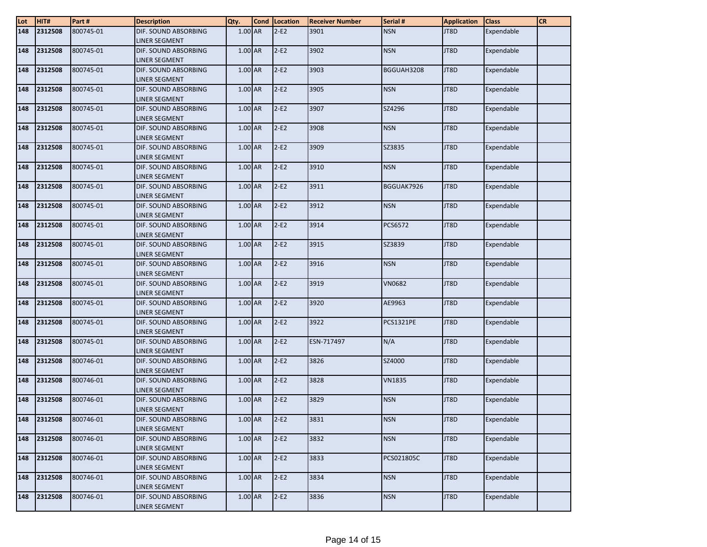| $\frac{\text{Lot}}{\text{148}}$ | HIT#        | Part#     | <b>Description</b>                           | Qty.      | Cond Location | <b>Receiver Number</b> | Serial #         | <b>Application</b> | <b>Class</b> | <b>CR</b> |
|---------------------------------|-------------|-----------|----------------------------------------------|-----------|---------------|------------------------|------------------|--------------------|--------------|-----------|
|                                 | 2312508     | 800745-01 | DIF. SOUND ABSORBING                         | 1.00 AR   | $2-E2$        | 3901                   | <b>NSN</b>       | JT8D               | Expendable   |           |
|                                 |             |           | <b>LINER SEGMENT</b>                         |           |               |                        |                  |                    |              |           |
| 148                             | 2312508     | 800745-01 | DIF. SOUND ABSORBING                         | 1.00 AR   | $2-E2$        | 3902                   | <b>NSN</b>       | JT8D               | Expendable   |           |
|                                 |             |           | LINER SEGMENT                                |           |               |                        |                  |                    |              |           |
| 148                             | 2312508     | 800745-01 | DIF. SOUND ABSORBING                         | 1.00 AR   | $2-E2$        | 3903                   | BGGUAH3208       | JT8D               | Expendable   |           |
|                                 |             |           | LINER SEGMENT                                |           |               |                        |                  |                    |              |           |
| 148                             | 2312508     | 800745-01 | DIF. SOUND ABSORBING                         | 1.00 AR   | $2-E2$        | 3905                   | <b>NSN</b>       | JT8D               | Expendable   |           |
|                                 |             |           | LINER SEGMENT                                |           |               |                        |                  |                    |              |           |
| 148                             | 2312508     | 800745-01 | DIF. SOUND ABSORBING                         | 1.00 AR   | $2-E2$        | 3907                   | SZ4296           | JT8D               | Expendable   |           |
|                                 |             |           | <b>LINER SEGMENT</b>                         |           |               |                        |                  |                    |              |           |
| 148                             | 2312508     | 800745-01 | DIF. SOUND ABSORBING                         | 1.00 AR   | $2-E2$        | 3908                   | <b>NSN</b>       | JT8D               | Expendable   |           |
|                                 |             |           | <b>LINER SEGMENT</b>                         |           |               |                        |                  |                    |              |           |
| 148                             | 2312508     | 800745-01 | DIF. SOUND ABSORBING                         | 1.00 AR   | $2-E2$        | 3909                   | SZ3835           | JT8D               | Expendable   |           |
| 148                             | 2312508     | 800745-01 | <b>LINER SEGMENT</b><br>DIF. SOUND ABSORBING | 1.00 AR   | $2-E2$        | 3910                   | <b>NSN</b>       | JT8D               |              |           |
|                                 |             |           | LINER SEGMENT                                |           |               |                        |                  |                    | Expendable   |           |
| 148                             | 2312508     | 800745-01 | DIF. SOUND ABSORBING                         | 1.00 AR   | $2-E2$        | 3911                   | BGGUAK7926       | JT8D               | Expendable   |           |
|                                 |             |           | LINER SEGMENT                                |           |               |                        |                  |                    |              |           |
| 148                             | 2312508     | 800745-01 | DIF. SOUND ABSORBING                         | 1.00 AR   | $2-E2$        | 3912                   | <b>NSN</b>       | JT8D               | Expendable   |           |
|                                 |             |           | LINER SEGMENT                                |           |               |                        |                  |                    |              |           |
| 148                             | 2312508     | 800745-01 | DIF. SOUND ABSORBING                         | 1.00 AR   | $2-E2$        | 3914                   | PCS6572          | JT8D               | Expendable   |           |
|                                 |             |           | <b>LINER SEGMENT</b>                         |           |               |                        |                  |                    |              |           |
| 148                             | 2312508     | 800745-01 | DIF. SOUND ABSORBING                         | 1.00 AR   | $2-E2$        | 3915                   | SZ3839           | JT8D               | Expendable   |           |
|                                 |             |           | <b>LINER SEGMENT</b>                         |           |               |                        |                  |                    |              |           |
| 148                             | 2312508     | 800745-01 | DIF. SOUND ABSORBING                         | 1.00 AR   | $2-E2$        | 3916                   | <b>NSN</b>       | JT8D               | Expendable   |           |
|                                 |             |           | LINER SEGMENT                                |           |               |                        |                  |                    |              |           |
| 148                             | 2312508     | 800745-01 | DIF. SOUND ABSORBING                         | 1.00 AR   | $2-E2$        | 3919                   | <b>VN0682</b>    | JT8D               | Expendable   |           |
|                                 |             |           | <b>LINER SEGMENT</b>                         |           |               |                        |                  |                    |              |           |
| 148                             | 2312508     | 800745-01 | DIF. SOUND ABSORBING                         | 1.00 AR   | $2-E2$        | 3920                   | AE9963           | JT8D               | Expendable   |           |
|                                 |             |           | LINER SEGMENT                                |           |               |                        |                  |                    |              |           |
| 148                             | 2312508     | 800745-01 | DIF. SOUND ABSORBING                         | 1.00 AR   | $2-E2$        | 3922                   | <b>PCS1321PE</b> | JT8D               | Expendable   |           |
| 148                             | 2312508     | 800745-01 | LINER SEGMENT<br>DIF. SOUND ABSORBING        | 1.00 AR   | $2-E2$        | ESN-717497             | N/A              | JT8D               | Expendable   |           |
|                                 |             |           | <b>LINER SEGMENT</b>                         |           |               |                        |                  |                    |              |           |
| 148                             | 2312508     | 800746-01 | DIF. SOUND ABSORBING                         | 1.00 AR   | $2-E2$        | 3826                   | SZ4000           | JT8D               | Expendable   |           |
|                                 |             |           | LINER SEGMENT                                |           |               |                        |                  |                    |              |           |
| 148                             | 2312508     | 800746-01 | DIF. SOUND ABSORBING                         | 1.00 AR   | $2-E2$        | 3828                   | <b>VN1835</b>    | JT8D               | Expendable   |           |
|                                 |             |           | <b>LINER SEGMENT</b>                         |           |               |                        |                  |                    |              |           |
| 148                             | 2312508     | 800746-01 | DIF. SOUND ABSORBING                         | 1.00 AR   | $2-E2$        | 3829                   | <b>NSN</b>       | JT8D               | Expendable   |           |
|                                 |             |           | <b>LINER SEGMENT</b>                         |           |               |                        |                  |                    |              |           |
|                                 | 148 2312508 | 800746-01 | DIF. SOUND ABSORBING                         | $1.00$ AR | $ 2-E2 $      | 3831                   | <b>NSN</b>       | JT8D               | Expendable   |           |
|                                 |             |           | LINER SEGMENT                                |           |               |                        |                  |                    |              |           |
| 148                             | 2312508     | 800746-01 | DIF. SOUND ABSORBING                         | 1.00 AR   | $2-E2$        | 3832                   | <b>NSN</b>       | JT8D               | Expendable   |           |
|                                 |             |           | LINER SEGMENT                                |           |               |                        |                  |                    |              |           |
| 148                             | 2312508     | 800746-01 | DIF. SOUND ABSORBING                         | 1.00 AR   | $2-E2$        | 3833                   | PCS021805C       | JT8D               | Expendable   |           |
|                                 |             |           | LINER SEGMENT                                |           |               |                        |                  |                    |              |           |
| 148                             | 2312508     | 800746-01 | DIF. SOUND ABSORBING                         | 1.00 AR   | $2-E2$        | 3834                   | <b>NSN</b>       | JT8D               | Expendable   |           |
|                                 |             |           | LINER SEGMENT                                |           |               |                        |                  |                    |              |           |
| 148                             | 2312508     | 800746-01 | DIF. SOUND ABSORBING                         | $1.00$ AR | $2-E2$        | 3836                   | <b>NSN</b>       | JT8D               | Expendable   |           |
|                                 |             |           | <b>LINER SEGMENT</b>                         |           |               |                        |                  |                    |              |           |